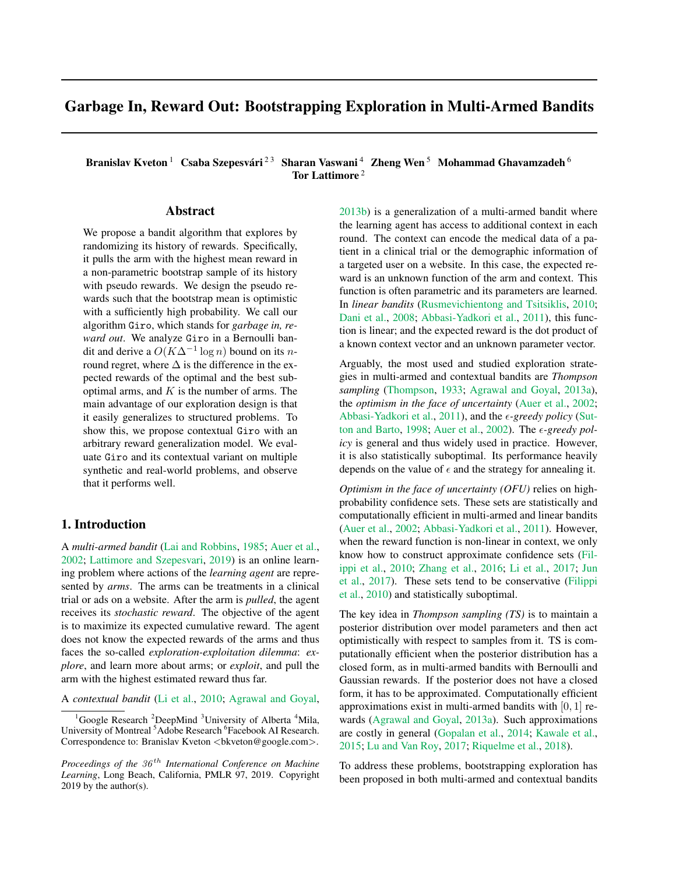# Garbage In, Reward Out: Bootstrapping Exploration in Multi-Armed Bandits

Branislav Kveton  $^1$  Csaba Szepesvári  $^{2 \, 3}$  Sharan Vaswani  $^4$  Zheng Wen  $^5$  Mohammad Ghavamzadeh  $^6$ Tor Lattimore<sup>2</sup>

## Abstract

We propose a bandit algorithm that explores by randomizing its history of rewards. Specifically, it pulls the arm with the highest mean reward in a non-parametric bootstrap sample of its history with pseudo rewards. We design the pseudo rewards such that the bootstrap mean is optimistic with a sufficiently high probability. We call our algorithm Giro, which stands for *garbage in, reward out*. We analyze Giro in a Bernoulli bandit and derive a  $O(K\Delta^{-1}\log n)$  bound on its *n*round regret, where  $\Delta$  is the difference in the expected rewards of the optimal and the best suboptimal arms, and  $K$  is the number of arms. The main advantage of our exploration design is that it easily generalizes to structured problems. To show this, we propose contextual Giro with an arbitrary reward generalization model. We evaluate Giro and its contextual variant on multiple synthetic and real-world problems, and observe that it performs well.

# <span id="page-0-0"></span>1. Introduction

A *multi-armed bandit* [\(Lai and Robbins,](#page-8-0) [1985;](#page-8-0) [Auer et al.,](#page-8-1) [2002;](#page-8-1) [Lattimore and Szepesvari,](#page-8-2) [2019\)](#page-8-2) is an online learning problem where actions of the *learning agent* are represented by *arms*. The arms can be treatments in a clinical trial or ads on a website. After the arm is *pulled*, the agent receives its *stochastic reward*. The objective of the agent is to maximize its expected cumulative reward. The agent does not know the expected rewards of the arms and thus faces the so-called *exploration-exploitation dilemma*: *explore*, and learn more about arms; or *exploit*, and pull the arm with the highest estimated reward thus far.

A *contextual bandit* [\(Li et al.,](#page-8-3) [2010;](#page-8-3) [Agrawal and Goyal,](#page-8-4)

[2013b\)](#page-8-4) is a generalization of a multi-armed bandit where the learning agent has access to additional context in each round. The context can encode the medical data of a patient in a clinical trial or the demographic information of a targeted user on a website. In this case, the expected reward is an unknown function of the arm and context. This function is often parametric and its parameters are learned. In *linear bandits* [\(Rusmevichientong and Tsitsiklis,](#page-9-0) [2010;](#page-9-0) [Dani et al.,](#page-8-5) [2008;](#page-8-5) [Abbasi-Yadkori et al.,](#page-8-6) [2011\)](#page-8-6), this function is linear; and the expected reward is the dot product of a known context vector and an unknown parameter vector.

Arguably, the most used and studied exploration strategies in multi-armed and contextual bandits are *Thompson sampling* [\(Thompson,](#page-9-1) [1933;](#page-9-1) [Agrawal and Goyal,](#page-8-7) [2013a\)](#page-8-7), the *optimism in the face of uncertainty* [\(Auer et al.,](#page-8-1) [2002;](#page-8-1) [Abbasi-Yadkori et al.,](#page-8-6) [2011\)](#page-8-6), and the  $\epsilon$ -greedy policy [\(Sut](#page-9-2)[ton and Barto,](#page-9-2) [1998;](#page-9-2) [Auer et al.,](#page-8-1) [2002\)](#page-8-1). The  $\epsilon$ -greedy pol*icy* is general and thus widely used in practice. However, it is also statistically suboptimal. Its performance heavily depends on the value of  $\epsilon$  and the strategy for annealing it.

*Optimism in the face of uncertainty (OFU)* relies on highprobability confidence sets. These sets are statistically and computationally efficient in multi-armed and linear bandits [\(Auer et al.,](#page-8-1) [2002;](#page-8-1) [Abbasi-Yadkori et al.,](#page-8-6) [2011\)](#page-8-6). However, when the reward function is non-linear in context, we only know how to construct approximate confidence sets [\(Fil](#page-8-8)[ippi et al.,](#page-8-8) [2010;](#page-8-8) [Zhang et al.,](#page-9-3) [2016;](#page-9-3) [Li et al.,](#page-8-9) [2017;](#page-8-9) [Jun](#page-8-10) [et al.,](#page-8-10) [2017\)](#page-8-10). These sets tend to be conservative [\(Filippi](#page-8-8) [et al.,](#page-8-8) [2010\)](#page-8-8) and statistically suboptimal.

The key idea in *Thompson sampling (TS)* is to maintain a posterior distribution over model parameters and then act optimistically with respect to samples from it. TS is computationally efficient when the posterior distribution has a closed form, as in multi-armed bandits with Bernoulli and Gaussian rewards. If the posterior does not have a closed form, it has to be approximated. Computationally efficient approximations exist in multi-armed bandits with [0, 1] rewards [\(Agrawal and Goyal,](#page-8-7) [2013a\)](#page-8-7). Such approximations are costly in general [\(Gopalan et al.,](#page-8-11) [2014;](#page-8-11) [Kawale et al.,](#page-8-12) [2015;](#page-8-12) [Lu and Van Roy,](#page-8-13) [2017;](#page-8-13) [Riquelme et al.,](#page-9-4) [2018\)](#page-9-4).

To address these problems, bootstrapping exploration has been proposed in both multi-armed and contextual bandits

Google Research <sup>2</sup>DeepMind <sup>3</sup>University of Alberta <sup>4</sup>Mila, University of Montreal<sup>5</sup> Adobe Research<sup>6</sup> Facebook AI Research. Correspondence to: Branislav Kveton <br/> <br/> <br/> <br/> <br/> <br/> <br/>exongle.com>.

*Proceedings of the 36<sup>th</sup> International Conference on Machine Learning*, Long Beach, California, PMLR 97, 2019. Copyright 2019 by the author(s).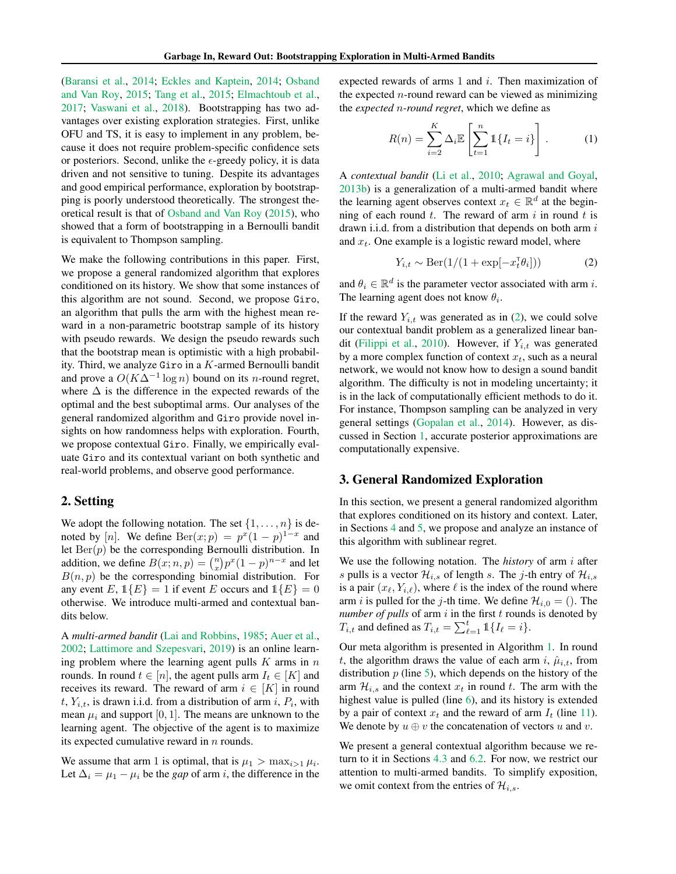[\(Baransi et al.,](#page-8-14) [2014;](#page-8-14) [Eckles and Kaptein,](#page-8-15) [2014;](#page-8-15) [Osband](#page-9-5) [and Van Roy,](#page-9-5) [2015;](#page-9-5) [Tang et al.,](#page-9-6) [2015;](#page-9-6) [Elmachtoub et al.,](#page-8-16) [2017;](#page-8-16) [Vaswani et al.,](#page-9-7) [2018\)](#page-9-7). Bootstrapping has two advantages over existing exploration strategies. First, unlike OFU and TS, it is easy to implement in any problem, because it does not require problem-specific confidence sets or posteriors. Second, unlike the  $\epsilon$ -greedy policy, it is data driven and not sensitive to tuning. Despite its advantages and good empirical performance, exploration by bootstrapping is poorly understood theoretically. The strongest theoretical result is that of [Osband and Van Roy](#page-9-5) [\(2015\)](#page-9-5), who showed that a form of bootstrapping in a Bernoulli bandit is equivalent to Thompson sampling.

We make the following contributions in this paper. First, we propose a general randomized algorithm that explores conditioned on its history. We show that some instances of this algorithm are not sound. Second, we propose Giro, an algorithm that pulls the arm with the highest mean reward in a non-parametric bootstrap sample of its history with pseudo rewards. We design the pseudo rewards such that the bootstrap mean is optimistic with a high probability. Third, we analyze Giro in a K-armed Bernoulli bandit and prove a  $O(K\Delta^{-1}\log n)$  bound on its *n*-round regret, where  $\Delta$  is the difference in the expected rewards of the optimal and the best suboptimal arms. Our analyses of the general randomized algorithm and Giro provide novel insights on how randomness helps with exploration. Fourth, we propose contextual Giro. Finally, we empirically evaluate Giro and its contextual variant on both synthetic and real-world problems, and observe good performance.

### <span id="page-1-1"></span>2. Setting

We adopt the following notation. The set  $\{1, \ldots, n\}$  is denoted by [n]. We define  $\text{Ber}(x; p) = p^x(1-p)^{1-x}$  and let  $Ber(p)$  be the corresponding Bernoulli distribution. In addition, we define  $B(x; n, p) = {n \choose x} p^x (1-p)^{n-x}$  and let  $B(n, p)$  be the corresponding binomial distribution. For any event E,  $\mathbb{1}{E} = 1$  if event E occurs and  $\mathbb{1}{E} = 0$ otherwise. We introduce multi-armed and contextual bandits below.

A *multi-armed bandit* [\(Lai and Robbins,](#page-8-0) [1985;](#page-8-0) [Auer et al.,](#page-8-1) [2002;](#page-8-1) [Lattimore and Szepesvari,](#page-8-2) [2019\)](#page-8-2) is an online learning problem where the learning agent pulls  $K$  arms in  $n$ rounds. In round  $t \in [n]$ , the agent pulls arm  $I_t \in [K]$  and receives its reward. The reward of arm  $i \in [K]$  in round t,  $Y_{i,t}$ , is drawn i.i.d. from a distribution of arm i,  $P_i$ , with mean  $\mu_i$  and support [0, 1]. The means are unknown to the learning agent. The objective of the agent is to maximize its expected cumulative reward in  $n$  rounds.

We assume that arm 1 is optimal, that is  $\mu_1 > \max_{i>1} \mu_i$ . Let  $\Delta_i = \mu_1 - \mu_i$  be the *gap* of arm *i*, the difference in the expected rewards of arms 1 and i. Then maximization of the expected  $n$ -round reward can be viewed as minimizing the *expected* n*-round regret*, which we define as

$$
R(n) = \sum_{i=2}^{K} \Delta_i \mathbb{E}\left[\sum_{t=1}^{n} \mathbb{1}\{I_t = i\}\right].
$$
 (1)

A *contextual bandit* [\(Li et al.,](#page-8-3) [2010;](#page-8-3) [Agrawal and Goyal,](#page-8-4) [2013b\)](#page-8-4) is a generalization of a multi-armed bandit where the learning agent observes context  $x_t \in \mathbb{R}^d$  at the beginning of each round  $t$ . The reward of arm  $i$  in round  $t$  is drawn i.i.d. from a distribution that depends on both arm  $i$ and  $x_t$ . One example is a logistic reward model, where

<span id="page-1-0"></span>
$$
Y_{i,t} \sim \text{Ber}(1/(1 + \exp[-x_t^{\tau}\theta_i]))\tag{2}
$$

and  $\theta_i \in \mathbb{R}^d$  is the parameter vector associated with arm *i*. The learning agent does not know  $\theta_i$ .

If the reward  $Y_{i,t}$  was generated as in [\(2\)](#page-1-0), we could solve our contextual bandit problem as a generalized linear ban-dit [\(Filippi et al.,](#page-8-8) [2010\)](#page-8-8). However, if  $Y_{i,t}$  was generated by a more complex function of context  $x_t$ , such as a neural network, we would not know how to design a sound bandit algorithm. The difficulty is not in modeling uncertainty; it is in the lack of computationally efficient methods to do it. For instance, Thompson sampling can be analyzed in very general settings [\(Gopalan et al.,](#page-8-11) [2014\)](#page-8-11). However, as discussed in Section [1,](#page-0-0) accurate posterior approximations are computationally expensive.

# 3. General Randomized Exploration

In this section, we present a general randomized algorithm that explores conditioned on its history and context. Later, in Sections [4](#page-2-0) and [5,](#page-4-0) we propose and analyze an instance of this algorithm with sublinear regret.

We use the following notation. The *history* of arm i after s pulls is a vector  $\mathcal{H}_{i,s}$  of length s. The j-th entry of  $\mathcal{H}_{i,s}$ is a pair  $(x_\ell, Y_{i,\ell})$ , where  $\ell$  is the index of the round where arm *i* is pulled for the *j*-th time. We define  $\mathcal{H}_{i,0} = ($ . The *number of pulls* of arm  $i$  in the first  $t$  rounds is denoted by  $T_{i,t}$  and defined as  $T_{i,t} = \sum_{\ell=1}^t \mathbb{1}\{I_\ell = i\}.$ 

Our meta algorithm is presented in Algorithm [1.](#page-2-1) In round t, the algorithm draws the value of each arm i,  $\hat{\mu}_{i,t}$ , from distribution  $p$  (line [5\)](#page-2-2), which depends on the history of the arm  $\mathcal{H}_{i,s}$  and the context  $x_t$  in round t. The arm with the highest value is pulled (line [6\)](#page-2-3), and its history is extended by a pair of context  $x_t$  and the reward of arm  $I_t$  (line [11\)](#page-2-4). We denote by  $u \oplus v$  the concatenation of vectors u and v.

We present a general contextual algorithm because we return to it in Sections [4.3](#page-3-0) and [6.2.](#page-6-0) For now, we restrict our attention to multi-armed bandits. To simplify exposition, we omit context from the entries of  $\mathcal{H}_{i,s}$ .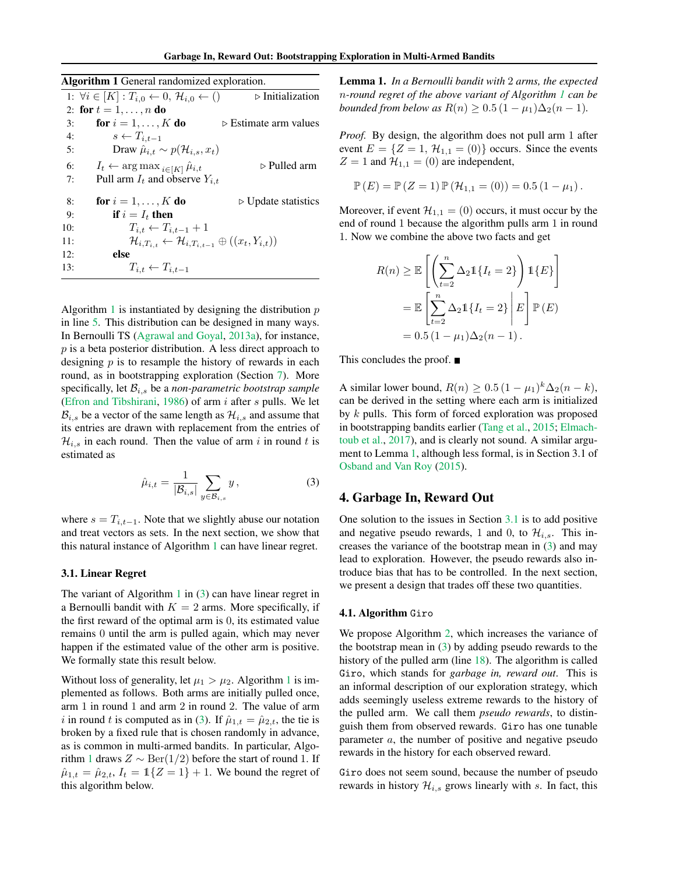Garbage In, Reward Out: Bootstrapping Exploration in Multi-Armed Bandits

<span id="page-2-3"></span><span id="page-2-2"></span><span id="page-2-1"></span>

| Algorithm 1 General randomized exploration. |                                                                                       |                                      |  |
|---------------------------------------------|---------------------------------------------------------------------------------------|--------------------------------------|--|
|                                             | 1: $\forall i \in [K] : T_{i,0} \leftarrow 0, \mathcal{H}_{i,0} \leftarrow ()$        | $\triangleright$ Initialization      |  |
|                                             | 2: for $t = 1, , n$ do                                                                |                                      |  |
| 3:                                          | for $i = 1, \ldots, K$ do                                                             | $\triangleright$ Estimate arm values |  |
| 4:                                          | $s \leftarrow T_{i,t-1}$                                                              |                                      |  |
| 5:                                          | Draw $\hat{\mu}_{i,t} \sim p(\mathcal{H}_{i,s}, x_t)$                                 |                                      |  |
| 6:                                          | $I_t \leftarrow \arg \max_{i \in [K]} \hat{\mu}_{i,t}$                                | $\triangleright$ Pulled arm          |  |
| 7:                                          | Pull arm $I_t$ and observe $Y_{i,t}$                                                  |                                      |  |
| 8:                                          | for $i = 1, \ldots, K$ do                                                             | $\triangleright$ Update statistics   |  |
| 9:                                          | if $i = I_t$ then                                                                     |                                      |  |
| 10:                                         | $T_{i,t} \leftarrow T_{i,t-1} + 1$                                                    |                                      |  |
| 11:                                         | $\mathcal{H}_{i,T_{i,t}} \leftarrow \mathcal{H}_{i,T_{i,t-1}} \oplus ((x_t,Y_{i,t}))$ |                                      |  |
| 12:                                         | else                                                                                  |                                      |  |
| 13:                                         | $T_{i,t} \leftarrow T_{i,t-1}$                                                        |                                      |  |

<span id="page-2-9"></span><span id="page-2-8"></span><span id="page-2-4"></span>Algorithm [1](#page-2-1) is instantiated by designing the distribution  $p$ in line [5.](#page-2-2) This distribution can be designed in many ways. In Bernoulli TS [\(Agrawal and Goyal,](#page-8-7) [2013a\)](#page-8-7), for instance,  $p$  is a beta posterior distribution. A less direct approach to designing  $p$  is to resample the history of rewards in each round, as in bootstrapping exploration (Section [7\)](#page-7-0). More specifically, let  $B_{i,s}$  be a *non-parametric bootstrap sample* [\(Efron and Tibshirani,](#page-8-17) [1986\)](#page-8-17) of arm  $i$  after  $s$  pulls. We let  $\mathcal{B}_{i,s}$  be a vector of the same length as  $\mathcal{H}_{i,s}$  and assume that its entries are drawn with replacement from the entries of  $\mathcal{H}_{i,s}$  in each round. Then the value of arm i in round t is estimated as

$$
\hat{\mu}_{i,t} = \frac{1}{|\mathcal{B}_{i,s}|} \sum_{y \in \mathcal{B}_{i,s}} y, \tag{3}
$$

where  $s = T_{i,t-1}$ . Note that we slightly abuse our notation and treat vectors as sets. In the next section, we show that this natural instance of Algorithm [1](#page-2-1) can have linear regret.

#### <span id="page-2-7"></span>3.1. Linear Regret

The variant of Algorithm [1](#page-2-1) in  $(3)$  can have linear regret in a Bernoulli bandit with  $K = 2$  arms. More specifically, if the first reward of the optimal arm is 0, its estimated value remains 0 until the arm is pulled again, which may never happen if the estimated value of the other arm is positive. We formally state this result below.

<span id="page-2-6"></span>Without loss of generality, let  $\mu_1 > \mu_2$  $\mu_1 > \mu_2$  $\mu_1 > \mu_2$ . Algorithm 1 is implemented as follows. Both arms are initially pulled once, arm 1 in round 1 and arm 2 in round 2. The value of arm i in round t is computed as in [\(3\)](#page-2-5). If  $\hat{\mu}_{1,t} = \hat{\mu}_{2,t}$ , the tie is broken by a fixed rule that is chosen randomly in advance, as is common in multi-armed bandits. In particular, Algo-rithm [1](#page-2-1) draws  $Z \sim \text{Ber}(1/2)$  before the start of round 1. If  $\hat{\mu}_{1,t} = \hat{\mu}_{2,t}, I_t = \mathbb{1}{Z = 1} + 1$ . We bound the regret of this algorithm below.

Lemma 1. *In a Bernoulli bandit with* 2 *arms, the expected* n*-round regret of the above variant of Algorithm [1](#page-2-1) can be bounded from below as*  $R(n) \ge 0.5 (1 - \mu_1) \Delta_2(n - 1)$ .

*Proof.* By design, the algorithm does not pull arm 1 after event  $E = \{Z = 1, \mathcal{H}_{1,1} = (0)\}\)$  occurs. Since the events  $Z = 1$  and  $\mathcal{H}_{1,1} = (0)$  are independent,

$$
\mathbb{P}(E) = \mathbb{P}(Z = 1) \mathbb{P}(\mathcal{H}_{1,1} = (0)) = 0.5 (1 - \mu_1).
$$

Moreover, if event  $\mathcal{H}_{1,1} = (0)$  occurs, it must occur by the end of round 1 because the algorithm pulls arm 1 in round 1. Now we combine the above two facts and get

$$
R(n) \geq \mathbb{E}\left[\left(\sum_{t=2}^{n} \Delta_2 \mathbb{1}\{I_t = 2\}\right) \mathbb{1}\{E\}\right]
$$

$$
= \mathbb{E}\left[\sum_{t=2}^{n} \Delta_2 \mathbb{1}\{I_t = 2\}\middle| E\right] \mathbb{P}(E)
$$

$$
= 0.5 (1 - \mu_1) \Delta_2(n - 1).
$$

This concludes the proof.

A similar lower bound,  $R(n) \ge 0.5 (1 - \mu_1)^k \Delta_2(n - k)$ , can be derived in the setting where each arm is initialized by k pulls. This form of forced exploration was proposed in bootstrapping bandits earlier [\(Tang et al.,](#page-9-6) [2015;](#page-9-6) [Elmach](#page-8-16)[toub et al.,](#page-8-16) [2017\)](#page-8-16), and is clearly not sound. A similar argument to Lemma [1,](#page-2-6) although less formal, is in Section 3.1 of [Osband and Van Roy](#page-9-5) [\(2015\)](#page-9-5).

# <span id="page-2-5"></span><span id="page-2-0"></span>4. Garbage In, Reward Out

One solution to the issues in Section [3.1](#page-2-7) is to add positive and negative pseudo rewards, 1 and 0, to  $\mathcal{H}_{i,s}$ . This increases the variance of the bootstrap mean in [\(3\)](#page-2-5) and may lead to exploration. However, the pseudo rewards also introduce bias that has to be controlled. In the next section, we present a design that trades off these two quantities.

### 4.1. Algorithm Giro

We propose Algorithm [2,](#page-3-1) which increases the variance of the bootstrap mean in  $(3)$  by adding pseudo rewards to the history of the pulled arm (line [18\)](#page-3-2). The algorithm is called Giro, which stands for *garbage in, reward out*. This is an informal description of our exploration strategy, which adds seemingly useless extreme rewards to the history of the pulled arm. We call them *pseudo rewards*, to distinguish them from observed rewards. Giro has one tunable parameter a, the number of positive and negative pseudo rewards in the history for each observed reward.

Giro does not seem sound, because the number of pseudo rewards in history  $\mathcal{H}_{i,s}$  grows linearly with s. In fact, this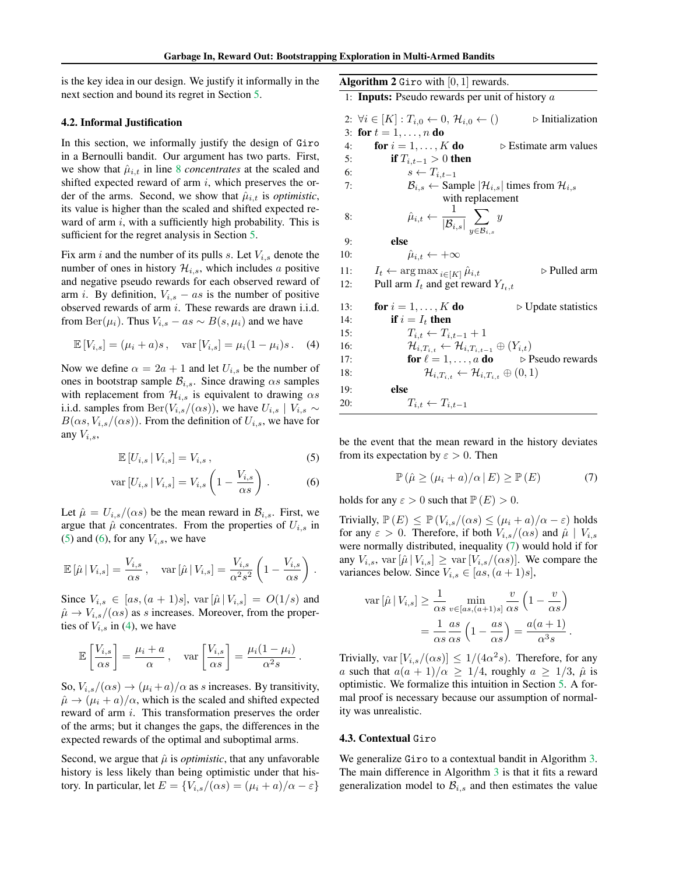is the key idea in our design. We justify it informally in the next section and bound its regret in Section [5.](#page-4-0)

### <span id="page-3-7"></span>4.2. Informal Justification

In this section, we informally justify the design of Giro in a Bernoulli bandit. Our argument has two parts. First, we show that  $\hat{\mu}_{i,t}$  in line [8](#page-2-8) *concentrates* at the scaled and shifted expected reward of arm  $i$ , which preserves the order of the arms. Second, we show that  $\hat{\mu}_{i,t}$  is *optimistic*, its value is higher than the scaled and shifted expected reward of arm  $i$ , with a sufficiently high probability. This is sufficient for the regret analysis in Section [5.](#page-4-0)

Fix arm i and the number of its pulls s. Let  $V_{i,s}$  denote the number of ones in history  $\mathcal{H}_{i,s}$ , which includes a positive and negative pseudo rewards for each observed reward of arm *i*. By definition,  $V_{i,s} - as$  is the number of positive observed rewards of arm i. These rewards are drawn i.i.d. from Ber( $\mu_i$ ). Thus  $V_{i,s} - as \sim B(s, \mu_i)$  and we have

$$
\mathbb{E}[V_{i,s}] = (\mu_i + a)s, \quad \text{var}[V_{i,s}] = \mu_i (1 - \mu_i)s. \quad (4)
$$

Now we define  $\alpha = 2a + 1$  and let  $U_{i,s}$  be the number of ones in bootstrap sample  $\mathcal{B}_{i,s}$ . Since drawing  $\alpha s$  samples with replacement from  $\mathcal{H}_{i,s}$  is equivalent to drawing  $\alpha s$ i.i.d. samples from Ber( $V_{i,s}/(\alpha s)$ ), we have  $U_{i,s} \mid V_{i,s} \sim$  $B(\alpha s, V_{i,s}/(\alpha s))$ . From the definition of  $U_{i,s}$ , we have for any  $V_{i,s}$ ,

$$
\mathbb{E}\left[U_{i,s} \,|\, V_{i,s}\right] = V_{i,s}\,,\tag{5}
$$

$$
\text{var}\left[U_{i,s} \,|\, V_{i,s}\right] = V_{i,s} \left(1 - \frac{V_{i,s}}{\alpha s}\right) \,. \tag{6}
$$

Let  $\hat{\mu} = U_{i,s}/(\alpha s)$  be the mean reward in  $\mathcal{B}_{i,s}$ . First, we argue that  $\hat{\mu}$  concentrates. From the properties of  $U_{i,s}$  in [\(5\)](#page-3-3) and [\(6\)](#page-3-4), for any  $V_{i,s}$ , we have

$$
\mathbb{E}\left[\hat{\mu}\,|\,V_{i,s}\right] = \frac{V_{i,s}}{\alpha s}, \quad \text{var}\left[\hat{\mu}\,|\,V_{i,s}\right] = \frac{V_{i,s}}{\alpha^2 s^2} \left(1 - \frac{V_{i,s}}{\alpha s}\right) \,.
$$

Since  $V_{i,s} \in [as, (a+1)s], \text{var}[\hat{\mu} | V_{i,s}] = O(1/s)$  and  $\hat{\mu} \rightarrow V_{i,s}/(\alpha s)$  as s increases. Moreover, from the properties of  $V_{i,s}$  in [\(4\)](#page-3-5), we have

$$
\mathbb{E}\left[\frac{V_{i,s}}{\alpha s}\right] = \frac{\mu_i + a}{\alpha}, \quad \text{var}\left[\frac{V_{i,s}}{\alpha s}\right] = \frac{\mu_i(1 - \mu_i)}{\alpha^2 s}.
$$

So,  $V_{i,s}/(\alpha s) \rightarrow (\mu_i + a)/\alpha$  as s increases. By transitivity,  $\hat{\mu} \rightarrow (\mu_i + a)/\alpha$ , which is the scaled and shifted expected reward of arm i. This transformation preserves the order of the arms; but it changes the gaps, the differences in the expected rewards of the optimal and suboptimal arms.

Second, we argue that  $\hat{\mu}$  is *optimistic*, that any unfavorable history is less likely than being optimistic under that history. In particular, let  $E = \{V_{i,s}/(\alpha s) = (\mu_i + a)/\alpha - \varepsilon\}$  <span id="page-3-1"></span>Algorithm 2 Giro with  $[0, 1]$  rewards.

1: Inputs: Pseudo rewards per unit of history a

2:  $\forall i \in [K] : T_{i,0} \leftarrow 0, \mathcal{H}_{i,0} \leftarrow () \qquad \rightarrow$  Initialization 3: for  $t = 1, ..., n$  do

4: **for**  $i = 1, ..., K$  **do**  $\triangleright$  Estimate arm values 5: **if**  $T_{i,t-1} > 0$  then

$$
6: \qquad \qquad s \leftarrow T_{i,t-1}
$$

7: 
$$
\mathcal{B}_{i,s} \leftarrow \text{Sample } |\mathcal{H}_{i,s}| \text{ times from } \mathcal{H}_{i,s}
$$
  
with replacement

 $\overline{y}$ 

8: 
$$
\hat{\mu}_{i,t} \leftarrow \frac{1}{|\mathcal{B}_{i,s}|} \sum_{y \in \mathcal{B}_{i,s}}
$$

9: else

10: 
$$
\hat{\mu}_{i,t} \leftarrow +\infty
$$

11:  $I_t \leftarrow \arg \max_{i \in [K]} \hat{\mu}_{i,t}$   $\triangleright$  Pulled arm 12: Pull arm  $I_t$  and get reward  $Y_{t,t}$ Pull arm  $I_t$  and get reward  $Y_{I_t,t}$ 

<span id="page-3-5"></span><span id="page-3-2"></span>

| 13: | $\triangleright$ Update statistics<br>for $i = 1, \ldots, K$ do                 |
|-----|---------------------------------------------------------------------------------|
| 14: | if $i = I_t$ then                                                               |
| 15: | $T_{i,t} \leftarrow T_{i,t-1} + 1$                                              |
| 16: | $\mathcal{H}_{i,T_{i,t}} \leftarrow \mathcal{H}_{i,T_{i,t-1}} \oplus (Y_{i,t})$ |
| 17: | for $\ell = 1, \ldots, a$ do $\blacktriangleright$ Pseudo rewards               |
| 18: | $\mathcal{H}_{i,T_{i,t}} \leftarrow \mathcal{H}_{i,T_{i,t}} \oplus (0,1)$       |
| 19: | else                                                                            |
| 20: | $T_{i,t} \leftarrow T_{i,t-1}$                                                  |

<span id="page-3-3"></span>be the event that the mean reward in the history deviates from its expectation by  $\varepsilon > 0$ . Then

<span id="page-3-6"></span>
$$
\mathbb{P}\left(\hat{\mu}\geq(\mu_i+a)/\alpha\,|\,E\right)\geq\mathbb{P}\left(E\right)\tag{7}
$$

<span id="page-3-4"></span>holds for any  $\varepsilon > 0$  such that  $\mathbb{P}(E) > 0$ .

Trivially,  $\mathbb{P}(E) \leq \mathbb{P}(V_{i,s}/(\alpha s) \leq (\mu_i + a)/\alpha - \varepsilon)$  holds for any  $\varepsilon > 0$ . Therefore, if both  $V_{i,s}/(\alpha s)$  and  $\hat{\mu} | V_{i,s}$ were normally distributed, inequality [\(7\)](#page-3-6) would hold if for any  $V_{i,s}$ , var  $[\hat{\mu} | V_{i,s}] \geq \text{var}[V_{i,s}/(\alpha s)]$ . We compare the variances below. Since  $V_{i,s} \in [as, (a+1)s],$ 

$$
\operatorname{var}\left[\hat{\mu}\,|\,V_{i,s}\right] \ge \frac{1}{\alpha s} \min_{v \in [as,(a+1)s]} \frac{v}{\alpha s} \left(1 - \frac{v}{\alpha s}\right)
$$

$$
= \frac{1}{\alpha s} \frac{as}{\alpha s} \left(1 - \frac{as}{\alpha s}\right) = \frac{a(a+1)}{\alpha^3 s}.
$$

Trivially,  $var[V_{i,s}/(\alpha s)] \leq 1/(4\alpha^2 s)$ . Therefore, for any a such that  $a(a + 1)/\alpha \ge 1/4$ , roughly  $a \ge 1/3$ ,  $\hat{\mu}$  is optimistic. We formalize this intuition in Section [5.](#page-4-0) A formal proof is necessary because our assumption of normality was unrealistic.

#### <span id="page-3-0"></span>4.3. Contextual Giro

We generalize Giro to a contextual bandit in Algorithm [3.](#page-4-1) The main difference in Algorithm [3](#page-4-1) is that it fits a reward generalization model to  $\mathcal{B}_{i,s}$  and then estimates the value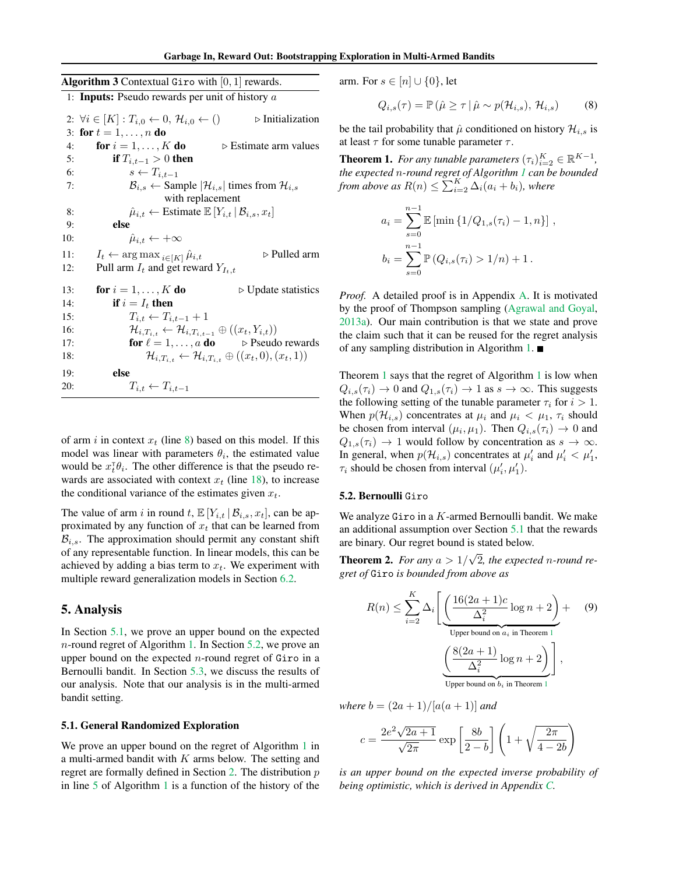<span id="page-4-1"></span>

| <b>Algorithm 3</b> Contextual Giro with $[0, 1]$ rewards. |                                                                                                                  |  |  |
|-----------------------------------------------------------|------------------------------------------------------------------------------------------------------------------|--|--|
|                                                           | 1: <b>Inputs:</b> Pseudo rewards per unit of history $a$                                                         |  |  |
|                                                           | $\triangleright$ Initialization<br>2: $\forall i \in [K]: T_{i,0} \leftarrow 0, \mathcal{H}_{i,0} \leftarrow ()$ |  |  |
|                                                           | 3: for $t = 1, , n$ do                                                                                           |  |  |
| 4:                                                        | for $i = 1, \ldots, K$ do<br>$\triangleright$ Estimate arm values                                                |  |  |
| 5:                                                        | if $T_{i,t-1} > 0$ then                                                                                          |  |  |
| 6:                                                        | $s \leftarrow T_{i,t-1}$                                                                                         |  |  |
| 7:                                                        | $\mathcal{B}_{i,s} \leftarrow$ Sample $ \mathcal{H}_{i,s} $ times from $\mathcal{H}_{i,s}$                       |  |  |
|                                                           | with replacement                                                                                                 |  |  |
| 8:                                                        | $\hat{\mu}_{i,t} \leftarrow$ Estimate $\mathbb{E}[Y_{i,t}   \mathcal{B}_{i,s}, x_t]$                             |  |  |
| 9:                                                        | else                                                                                                             |  |  |
| 10:                                                       | $\hat{\mu}_{i,t} \leftarrow +\infty$                                                                             |  |  |
| 11:                                                       | $\triangleright$ Pulled arm<br>$I_t \leftarrow \arg \max_{i \in [K]} \hat{\mu}_{i,t}$                            |  |  |
| 12:                                                       | Pull arm $I_t$ and get reward $Y_{I_t,t}$                                                                        |  |  |
| 13:                                                       | for $i = 1, \ldots, K$ do<br>$\triangleright$ Update statistics                                                  |  |  |
| 14:                                                       | if $i = I_t$ then                                                                                                |  |  |
| 15:                                                       | $T_{i,t} \leftarrow T_{i,t-1} + 1$                                                                               |  |  |
| 16:                                                       | $\mathcal{H}_{i,T_{i,t}} \leftarrow \mathcal{H}_{i,T_{i,t-1}} \oplus ((x_t,Y_{i,t}))$                            |  |  |
| 17:                                                       | for $\ell = 1, \ldots, a$ do $\rightarrow$ Pseudo rewards                                                        |  |  |
| 18:                                                       | $\mathcal{H}_{i,T_{i,t}} \leftarrow \mathcal{H}_{i,T_{i,t}} \oplus ((x_t,0),(x_t,1))$                            |  |  |
| 19:                                                       | else                                                                                                             |  |  |

of arm i in context  $x_t$  (line [8\)](#page-2-8) based on this model. If this model was linear with parameters  $\theta_i$ , the estimated value would be  $x_t^{\dagger} \theta_i$ . The other difference is that the pseudo rewards are associated with context  $x_t$  (line [18\)](#page-3-2), to increase

the conditional variance of the estimates given  $x_t$ .

20:  $T_{i,t} \leftarrow T_{i,t-1}$ 

The value of arm i in round t,  $\mathbb{E}[Y_{i,t} | \mathcal{B}_{i,s}, x_t]$ , can be approximated by any function of  $x_t$  that can be learned from  $\mathcal{B}_{i,s}$ . The approximation should permit any constant shift of any representable function. In linear models, this can be achieved by adding a bias term to  $x_t$ . We experiment with multiple reward generalization models in Section [6.2.](#page-6-0)

### <span id="page-4-0"></span>5. Analysis

In Section [5.1,](#page-4-2) we prove an upper bound on the expected n-round regret of Algorithm [1.](#page-2-1) In Section [5.2,](#page-4-3) we prove an upper bound on the expected *n*-round regret of  $Giro$  in a Bernoulli bandit. In Section [5.3,](#page-5-0) we discuss the results of our analysis. Note that our analysis is in the multi-armed bandit setting.

#### <span id="page-4-2"></span>5.1. General Randomized Exploration

We prove an upper bound on the regret of Algorithm [1](#page-2-1) in a multi-armed bandit with  $K$  arms below. The setting and regret are formally defined in Section [2.](#page-1-1) The distribution p in line [5](#page-2-2) of Algorithm [1](#page-2-1) is a function of the history of the

arm. For  $s \in [n] \cup \{0\}$ , let

<span id="page-4-6"></span>
$$
Q_{i,s}(\tau) = \mathbb{P}\left(\hat{\mu} \ge \tau \,|\, \hat{\mu} \sim p(\mathcal{H}_{i,s}), \mathcal{H}_{i,s}\right) \tag{8}
$$

be the tail probability that  $\hat{\mu}$  conditioned on history  $\mathcal{H}_{i,s}$  is at least  $\tau$  for some tunable parameter  $\tau$ .

<span id="page-4-4"></span>**Theorem 1.** For any tunable parameters  $(\tau_i)_{i=2}^K \in \mathbb{R}^{K-1}$ , *the expected* n*-round regret of Algorithm [1](#page-2-1) can be bounded from above as*  $R(n) \le \sum_{i=2}^{K} \Delta_i (a_i + b_i)$ *, where* 

$$
a_i = \sum_{s=0}^{n-1} \mathbb{E} [\min \{1/Q_{1,s}(\tau_i) - 1, n\}],
$$
  

$$
b_i = \sum_{s=0}^{n-1} \mathbb{P} (Q_{i,s}(\tau_i) > 1/n) + 1.
$$

*Proof.* A detailed proof is in Appendix [A.](#page-10-0) It is motivated by the proof of Thompson sampling [\(Agrawal and Goyal,](#page-8-7) [2013a\)](#page-8-7). Our main contribution is that we state and prove the claim such that it can be reused for the regret analysis of any sampling distribution in Algorithm [1.](#page-2-1)  $\blacksquare$ 

Theorem [1](#page-4-4) says that the regret of Algorithm [1](#page-2-1) is low when  $Q_{i,s}(\tau_i) \to 0$  and  $Q_{1,s}(\tau_i) \to 1$  as  $s \to \infty$ . This suggests the following setting of the tunable parameter  $\tau_i$  for  $i > 1$ . When  $p(\mathcal{H}_{i,s})$  concentrates at  $\mu_i$  and  $\mu_i < \mu_1$ ,  $\tau_i$  should be chosen from interval  $(\mu_i, \mu_1)$ . Then  $Q_{i,s}(\tau_i) \to 0$  and  $Q_{1,s}(\tau_i) \rightarrow 1$  would follow by concentration as  $s \rightarrow \infty$ . In general, when  $p(\mathcal{H}_{i,s})$  concentrates at  $\mu'_i$  and  $\mu'_i < \mu'_1$ ,  $\tau_i$  should be chosen from interval  $(\mu'_i, \mu'_1)$ .

### <span id="page-4-3"></span>5.2. Bernoulli Giro

We analyze Giro in a  $K$ -armed Bernoulli bandit. We make an additional assumption over Section [5.1](#page-4-2) that the rewards are binary. Our regret bound is stated below. √

<span id="page-4-5"></span>**Theorem 2.** *For any*  $a > 1/$ 2*, the expected* n*-round regret of* Giro *is bounded from above as*

<span id="page-4-7"></span>
$$
R(n) \le \sum_{i=2}^{K} \Delta_i \left[ \underbrace{\left( \frac{16(2a+1)c}{\Delta_i^2} \log n + 2 \right)}_{\text{Upper bound on } a_i \text{ in Theorem 1}} + \underbrace{\left( \frac{8(2a+1)}{\Delta_i^2} \log n + 2 \right)}_{\text{Upper bound on } b_i \text{ in Theorem 1}} \right],
$$
(9)

*where*  $b = (2a + 1)/[a(a + 1)]$  *and* 

$$
c = \frac{2e^2\sqrt{2a+1}}{\sqrt{2\pi}}\exp\left[\frac{8b}{2-b}\right]\left(1+\sqrt{\frac{2\pi}{4-2b}}\right)
$$

*is an upper bound on the expected inverse probability of being optimistic, which is derived in Appendix [C.](#page-13-0)*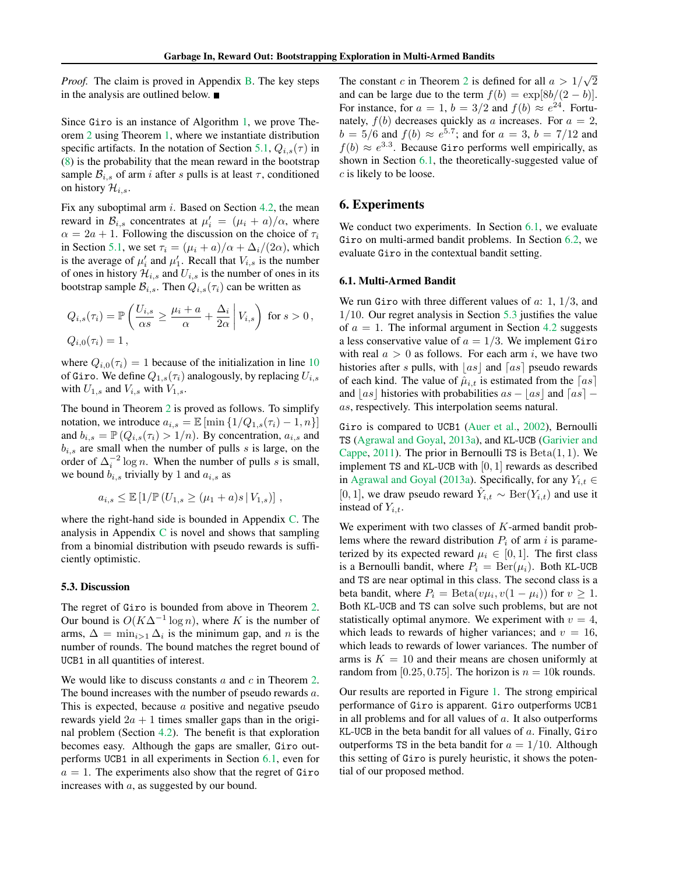*Proof.* The claim is proved in Appendix [B.](#page-11-0) The key steps in the analysis are outlined below.

Since Giro is an instance of Algorithm [1,](#page-2-1) we prove Theorem [2](#page-4-5) using Theorem [1,](#page-4-4) where we instantiate distribution specific artifacts. In the notation of Section [5.1,](#page-4-2)  $Q_{i,s}(\tau)$  in [\(8\)](#page-4-6) is the probability that the mean reward in the bootstrap sample  $\mathcal{B}_{i,s}$  of arm i after s pulls is at least  $\tau$ , conditioned on history  $\mathcal{H}_{i,s}$ .

Fix any suboptimal arm  $i$ . Based on Section [4.2,](#page-3-7) the mean reward in  $\mathcal{B}_{i,s}$  concentrates at  $\mu'_i = (\mu_i + a)/\alpha$ , where  $\alpha = 2a + 1$ . Following the discussion on the choice of  $\tau_i$ in Section [5.1,](#page-4-2) we set  $\tau_i = (\mu_i + a)/\alpha + \Delta_i/(2\alpha)$ , which is the average of  $\mu'_i$  and  $\mu'_1$ . Recall that  $V_{i,s}$  is the number of ones in history  $\mathcal{H}_{i,s}$  and  $U_{i,s}$  is the number of ones in its bootstrap sample  $\mathcal{B}_{i,s}$ . Then  $Q_{i,s}(\tau_i)$  can be written as

$$
Q_{i,s}(\tau_i) = \mathbb{P}\left(\frac{U_{i,s}}{\alpha s} \ge \frac{\mu_i + a}{\alpha} + \frac{\Delta_i}{2\alpha} \middle| V_{i,s}\right) \text{ for } s > 0,
$$
  

$$
Q_{i,0}(\tau_i) = 1,
$$

where  $Q_{i,0}(\tau_i) = 1$  because of the initialization in line [10](#page-2-9) of Giro. We define  $Q_{1,s}(\tau_i)$  analogously, by replacing  $U_{i,s}$ with  $U_{1,s}$  and  $V_{i,s}$  with  $V_{1,s}$ .

The bound in Theorem [2](#page-4-5) is proved as follows. To simplify notation, we introduce  $a_{i,s} = \mathbb{E} [\min \{1/Q_{1,s}(\tau_i) - 1, n\}]$ and  $b_{i,s} = \mathbb{P} (Q_{i,s}(\tau_i) > 1/n)$ . By concentration,  $a_{i,s}$  and  $b_{i,s}$  are small when the number of pulls s is large, on the order of  $\Delta_i^{-2} \log n$ . When the number of pulls s is small, we bound  $b_{i,s}$  trivially by 1 and  $a_{i,s}$  as

$$
a_{i,s} \leq \mathbb{E} [1/\mathbb{P} (U_{1,s} \geq (\mu_1 + a)s | V_{1,s})],
$$

where the right-hand side is bounded in Appendix [C.](#page-13-0) The analysis in Appendix [C](#page-13-0) is novel and shows that sampling from a binomial distribution with pseudo rewards is sufficiently optimistic.

#### <span id="page-5-0"></span>5.3. Discussion

The regret of Giro is bounded from above in Theorem [2.](#page-4-5) Our bound is  $O(K\Delta^{-1}\log n)$ , where K is the number of arms,  $\Delta = \min_{i>1} \Delta_i$  is the minimum gap, and n is the number of rounds. The bound matches the regret bound of UCB1 in all quantities of interest.

We would like to discuss constants  $a$  and  $c$  in Theorem [2.](#page-4-5) The bound increases with the number of pseudo rewards a. This is expected, because a positive and negative pseudo rewards yield  $2a + 1$  times smaller gaps than in the original problem (Section [4.2\)](#page-3-7). The benefit is that exploration becomes easy. Although the gaps are smaller, Giro outperforms UCB1 in all experiments in Section [6.1,](#page-5-1) even for  $a = 1$ . The experiments also show that the regret of Giro increases with a, as suggested by our bound.

The constant c in Theorem [2](#page-4-5) is defined for all  $a > 1/$ √ 2 and can be large due to the term  $f(b) = \exp[8b/(2 - b)].$ For instance, for  $a = 1$ ,  $b = 3/2$  and  $f(b) \approx e^{24}$ . Fortunately,  $f(b)$  decreases quickly as a increases. For  $a = 2$ ,  $b = 5/6$  and  $f(b) \approx e^{5.7}$ ; and for  $a = 3$ ,  $b = 7/12$  and  $f(b) \approx e^{3.3}$ . Because Giro performs well empirically, as shown in Section [6.1,](#page-5-1) the theoretically-suggested value of c is likely to be loose.

### 6. Experiments

We conduct two experiments. In Section [6.1,](#page-5-1) we evaluate Giro on multi-armed bandit problems. In Section [6.2,](#page-6-0) we evaluate Giro in the contextual bandit setting.

#### <span id="page-5-1"></span>6.1. Multi-Armed Bandit

We run Giro with three different values of  $a: 1, 1/3$ , and 1/10. Our regret analysis in Section [5.3](#page-5-0) justifies the value of  $a = 1$ . The informal argument in Section [4.2](#page-3-7) suggests a less conservative value of  $a = 1/3$ . We implement Giro with real  $a > 0$  as follows. For each arm i, we have two histories after s pulls, with  $|as|$  and  $\lceil as|$  pseudo rewards of each kind. The value of  $\hat{\mu}_{i,t}$  is estimated from the  $\lceil as \rceil$ and  $|as|$  histories with probabilities  $as - |as|$  and  $[a\overline{s}]$  − as, respectively. This interpolation seems natural.

Giro is compared to UCB1 [\(Auer et al.,](#page-8-1) [2002\)](#page-8-1), Bernoulli TS [\(Agrawal and Goyal,](#page-8-7) [2013a\)](#page-8-7), and KL-UCB [\(Garivier and](#page-8-18) [Cappe,](#page-8-18) [2011\)](#page-8-18). The prior in Bernoulli TS is  $Beta(1, 1)$ . We implement TS and KL-UCB with  $[0, 1]$  rewards as described in [Agrawal and Goyal](#page-8-7) [\(2013a\)](#page-8-7). Specifically, for any  $Y_{i,t} \in$ [0, 1], we draw pseudo reward  $\hat{Y}_{i,t} \sim \text{Ber}(Y_{i,t})$  and use it instead of  $Y_{i,t}$ .

We experiment with two classes of  $K$ -armed bandit problems where the reward distribution  $P_i$  of arm i is parameterized by its expected reward  $\mu_i \in [0, 1]$ . The first class is a Bernoulli bandit, where  $P_i = \text{Ber}(\mu_i)$ . Both KL-UCB and TS are near optimal in this class. The second class is a beta bandit, where  $P_i = \text{Beta}(v\mu_i, v(1 - \mu_i))$  for  $v \ge 1$ . Both KL-UCB and TS can solve such problems, but are not statistically optimal anymore. We experiment with  $v = 4$ , which leads to rewards of higher variances; and  $v = 16$ , which leads to rewards of lower variances. The number of arms is  $K = 10$  and their means are chosen uniformly at random from [0.25, 0.75]. The horizon is  $n = 10k$  rounds.

Our results are reported in Figure [1.](#page-6-1) The strong empirical performance of Giro is apparent. Giro outperforms UCB1 in all problems and for all values of  $a$ . It also outperforms KL-UCB in the beta bandit for all values of  $a$ . Finally, Giro outperforms TS in the beta bandit for  $a = 1/10$ . Although this setting of Giro is purely heuristic, it shows the potential of our proposed method.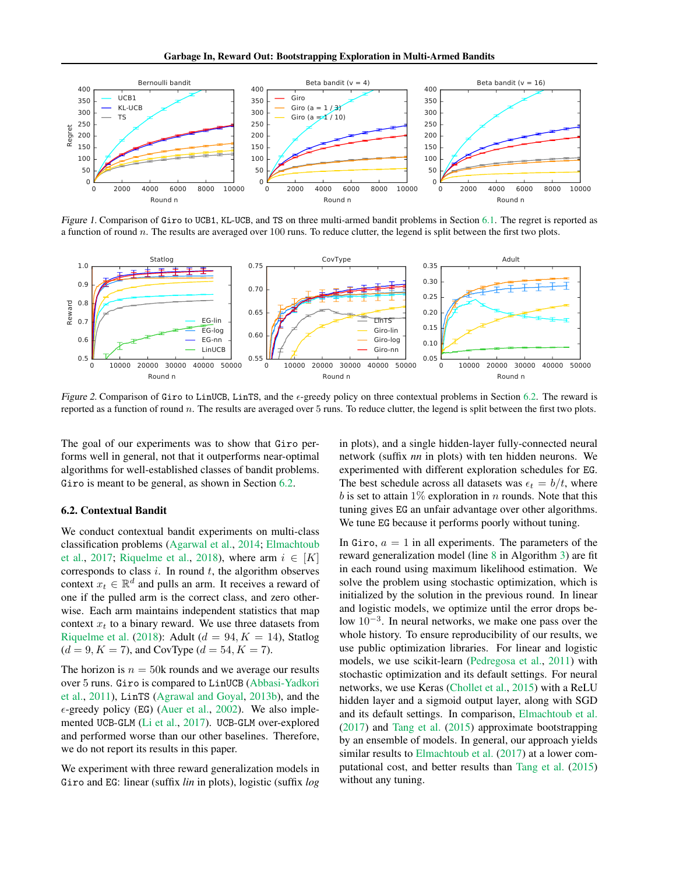

<span id="page-6-1"></span>Figure 1. Comparison of Giro to UCB1, KL-UCB, and TS on three multi-armed bandit problems in Section [6.1.](#page-5-1) The regret is reported as a function of round n. The results are averaged over 100 runs. To reduce clutter, the legend is split between the first two plots.



<span id="page-6-2"></span>Figure 2. Comparison of Giro to LinUCB, LinTS, and the  $\epsilon$ -greedy policy on three contextual problems in Section [6.2.](#page-6-0) The reward is reported as a function of round  $n$ . The results are averaged over  $5$  runs. To reduce clutter, the legend is split between the first two plots.

The goal of our experiments was to show that Giro performs well in general, not that it outperforms near-optimal algorithms for well-established classes of bandit problems. Giro is meant to be general, as shown in Section [6.2.](#page-6-0)

### <span id="page-6-0"></span>6.2. Contextual Bandit

We conduct contextual bandit experiments on multi-class classification problems [\(Agarwal et al.,](#page-8-19) [2014;](#page-8-19) [Elmachtoub](#page-8-16) [et al.,](#page-8-16) [2017;](#page-8-16) [Riquelme et al.,](#page-9-4) [2018\)](#page-9-4), where arm  $i \in [K]$ corresponds to class  $i$ . In round  $t$ , the algorithm observes context  $x_t \in \mathbb{R}^d$  and pulls an arm. It receives a reward of one if the pulled arm is the correct class, and zero otherwise. Each arm maintains independent statistics that map context  $x_t$  to a binary reward. We use three datasets from [Riquelme et al.](#page-9-4) [\(2018\)](#page-9-4): Adult ( $d = 94, K = 14$ ), Statlog  $(d = 9, K = 7)$ , and CovType  $(d = 54, K = 7)$ .

The horizon is  $n = 50k$  rounds and we average our results over 5 runs. Giro is compared to LinUCB [\(Abbasi-Yadkori](#page-8-6) [et al.,](#page-8-6) [2011\)](#page-8-6), LinTS [\(Agrawal and Goyal,](#page-8-4) [2013b\)](#page-8-4), and the  $\epsilon$ -greedy policy (EG) [\(Auer et al.,](#page-8-1) [2002\)](#page-8-1). We also implemented UCB-GLM [\(Li et al.,](#page-8-9) [2017\)](#page-8-9). UCB-GLM over-explored and performed worse than our other baselines. Therefore, we do not report its results in this paper.

We experiment with three reward generalization models in Giro and EG: linear (suffix *lin* in plots), logistic (suffix *log* in plots), and a single hidden-layer fully-connected neural network (suffix *nn* in plots) with ten hidden neurons. We experimented with different exploration schedules for EG. The best schedule across all datasets was  $\epsilon_t = b/t$ , where b is set to attain  $1\%$  exploration in n rounds. Note that this tuning gives EG an unfair advantage over other algorithms. We tune EG because it performs poorly without tuning.

In Giro,  $a = 1$  in all experiments. The parameters of the reward generalization model (line [8](#page-2-8) in Algorithm [3\)](#page-4-1) are fit in each round using maximum likelihood estimation. We solve the problem using stochastic optimization, which is initialized by the solution in the previous round. In linear and logistic models, we optimize until the error drops below  $10^{-3}$ . In neural networks, we make one pass over the whole history. To ensure reproducibility of our results, we use public optimization libraries. For linear and logistic models, we use scikit-learn [\(Pedregosa et al.,](#page-9-8) [2011\)](#page-9-8) with stochastic optimization and its default settings. For neural networks, we use Keras [\(Chollet et al.,](#page-8-20) [2015\)](#page-8-20) with a ReLU hidden layer and a sigmoid output layer, along with SGD and its default settings. In comparison, [Elmachtoub et al.](#page-8-16) [\(2017\)](#page-8-16) and [Tang et al.](#page-9-6) [\(2015\)](#page-9-6) approximate bootstrapping by an ensemble of models. In general, our approach yields similar results to [Elmachtoub et al.](#page-8-16) [\(2017\)](#page-8-16) at a lower computational cost, and better results than [Tang et al.](#page-9-6) [\(2015\)](#page-9-6) without any tuning.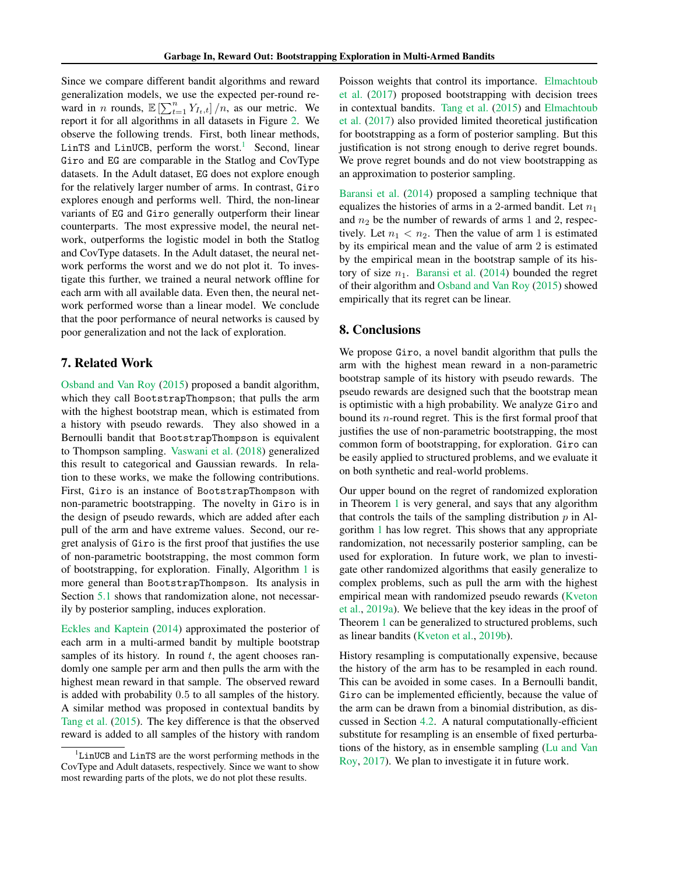Since we compare different bandit algorithms and reward generalization models, we use the expected per-round reward in *n* rounds,  $\mathbb{E}\left[\sum_{t=1}^{n} Y_{I_t,t}\right]/n$ , as our metric. We report it for all algorithms in all datasets in Figure [2.](#page-6-2) We observe the following trends. First, both linear methods, LinTS and LinUCB, perform the worst.<sup>[1](#page-7-1)</sup> Second, linear Giro and EG are comparable in the Statlog and CovType datasets. In the Adult dataset, EG does not explore enough for the relatively larger number of arms. In contrast, Giro explores enough and performs well. Third, the non-linear variants of EG and Giro generally outperform their linear counterparts. The most expressive model, the neural network, outperforms the logistic model in both the Statlog and CovType datasets. In the Adult dataset, the neural network performs the worst and we do not plot it. To investigate this further, we trained a neural network offline for each arm with all available data. Even then, the neural network performed worse than a linear model. We conclude that the poor performance of neural networks is caused by poor generalization and not the lack of exploration.

# <span id="page-7-0"></span>7. Related Work

[Osband and Van Roy](#page-9-5) [\(2015\)](#page-9-5) proposed a bandit algorithm, which they call BootstrapThompson; that pulls the arm with the highest bootstrap mean, which is estimated from a history with pseudo rewards. They also showed in a Bernoulli bandit that BootstrapThompson is equivalent to Thompson sampling. [Vaswani et al.](#page-9-7) [\(2018\)](#page-9-7) generalized this result to categorical and Gaussian rewards. In relation to these works, we make the following contributions. First, Giro is an instance of BootstrapThompson with non-parametric bootstrapping. The novelty in Giro is in the design of pseudo rewards, which are added after each pull of the arm and have extreme values. Second, our regret analysis of Giro is the first proof that justifies the use of non-parametric bootstrapping, the most common form of bootstrapping, for exploration. Finally, Algorithm [1](#page-2-1) is more general than BootstrapThompson. Its analysis in Section [5.1](#page-4-2) shows that randomization alone, not necessarily by posterior sampling, induces exploration.

[Eckles and Kaptein](#page-8-15) [\(2014\)](#page-8-15) approximated the posterior of each arm in a multi-armed bandit by multiple bootstrap samples of its history. In round  $t$ , the agent chooses randomly one sample per arm and then pulls the arm with the highest mean reward in that sample. The observed reward is added with probability 0.5 to all samples of the history. A similar method was proposed in contextual bandits by [Tang et al.](#page-9-6) [\(2015\)](#page-9-6). The key difference is that the observed reward is added to all samples of the history with random

Poisson weights that control its importance. [Elmachtoub](#page-8-16) [et al.](#page-8-16) [\(2017\)](#page-8-16) proposed bootstrapping with decision trees in contextual bandits. [Tang et al.](#page-9-6) [\(2015\)](#page-9-6) and [Elmachtoub](#page-8-16) [et al.](#page-8-16) [\(2017\)](#page-8-16) also provided limited theoretical justification for bootstrapping as a form of posterior sampling. But this justification is not strong enough to derive regret bounds. We prove regret bounds and do not view bootstrapping as an approximation to posterior sampling.

[Baransi et al.](#page-8-14) [\(2014\)](#page-8-14) proposed a sampling technique that equalizes the histories of arms in a 2-armed bandit. Let  $n_1$ and  $n_2$  be the number of rewards of arms 1 and 2, respectively. Let  $n_1 < n_2$ . Then the value of arm 1 is estimated by its empirical mean and the value of arm 2 is estimated by the empirical mean in the bootstrap sample of its history of size  $n_1$ . [Baransi et al.](#page-8-14) [\(2014\)](#page-8-14) bounded the regret of their algorithm and [Osband and Van Roy](#page-9-5) [\(2015\)](#page-9-5) showed empirically that its regret can be linear.

# 8. Conclusions

We propose Giro, a novel bandit algorithm that pulls the arm with the highest mean reward in a non-parametric bootstrap sample of its history with pseudo rewards. The pseudo rewards are designed such that the bootstrap mean is optimistic with a high probability. We analyze Giro and bound its n-round regret. This is the first formal proof that justifies the use of non-parametric bootstrapping, the most common form of bootstrapping, for exploration. Giro can be easily applied to structured problems, and we evaluate it on both synthetic and real-world problems.

Our upper bound on the regret of randomized exploration in Theorem [1](#page-4-4) is very general, and says that any algorithm that controls the tails of the sampling distribution  $p$  in Algorithm [1](#page-2-1) has low regret. This shows that any appropriate randomization, not necessarily posterior sampling, can be used for exploration. In future work, we plan to investigate other randomized algorithms that easily generalize to complex problems, such as pull the arm with the highest empirical mean with randomized pseudo rewards [\(Kveton](#page-8-21) [et al.,](#page-8-21) [2019a\)](#page-8-21). We believe that the key ideas in the proof of Theorem [1](#page-4-4) can be generalized to structured problems, such as linear bandits [\(Kveton et al.,](#page-8-22) [2019b\)](#page-8-22).

History resampling is computationally expensive, because the history of the arm has to be resampled in each round. This can be avoided in some cases. In a Bernoulli bandit, Giro can be implemented efficiently, because the value of the arm can be drawn from a binomial distribution, as discussed in Section [4.2.](#page-3-7) A natural computationally-efficient substitute for resampling is an ensemble of fixed perturbations of the history, as in ensemble sampling [\(Lu and Van](#page-8-13) [Roy,](#page-8-13) [2017\)](#page-8-13). We plan to investigate it in future work.

<span id="page-7-1"></span><sup>1</sup> LinUCB and LinTS are the worst performing methods in the CovType and Adult datasets, respectively. Since we want to show most rewarding parts of the plots, we do not plot these results.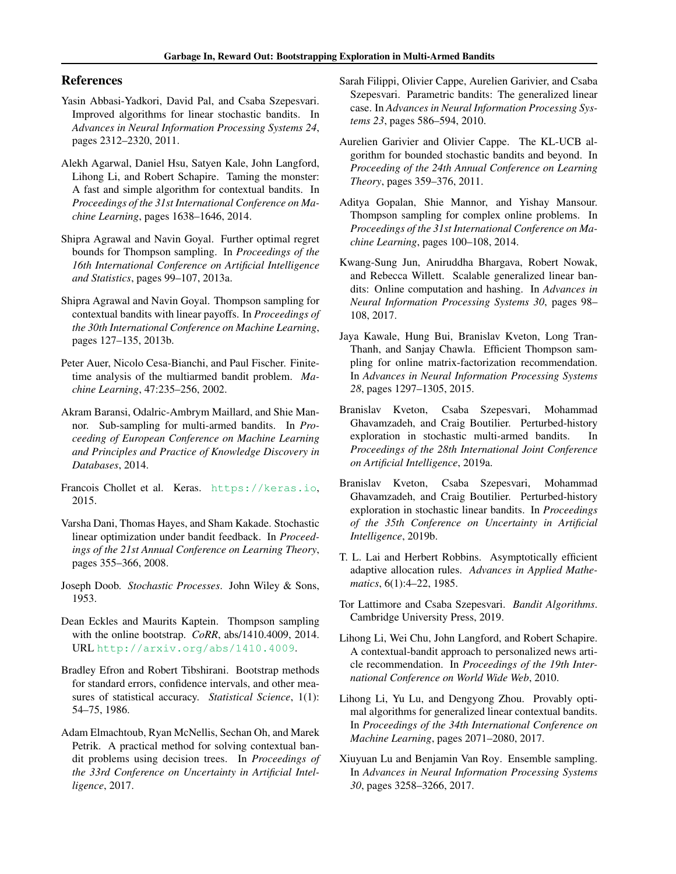# References

- <span id="page-8-6"></span>Yasin Abbasi-Yadkori, David Pal, and Csaba Szepesvari. Improved algorithms for linear stochastic bandits. In *Advances in Neural Information Processing Systems 24*, pages 2312–2320, 2011.
- <span id="page-8-19"></span>Alekh Agarwal, Daniel Hsu, Satyen Kale, John Langford, Lihong Li, and Robert Schapire. Taming the monster: A fast and simple algorithm for contextual bandits. In *Proceedings of the 31st International Conference on Machine Learning*, pages 1638–1646, 2014.
- <span id="page-8-7"></span>Shipra Agrawal and Navin Goyal. Further optimal regret bounds for Thompson sampling. In *Proceedings of the 16th International Conference on Artificial Intelligence and Statistics*, pages 99–107, 2013a.
- <span id="page-8-4"></span>Shipra Agrawal and Navin Goyal. Thompson sampling for contextual bandits with linear payoffs. In *Proceedings of the 30th International Conference on Machine Learning*, pages 127–135, 2013b.
- <span id="page-8-1"></span>Peter Auer, Nicolo Cesa-Bianchi, and Paul Fischer. Finitetime analysis of the multiarmed bandit problem. *Machine Learning*, 47:235–256, 2002.
- <span id="page-8-14"></span>Akram Baransi, Odalric-Ambrym Maillard, and Shie Mannor. Sub-sampling for multi-armed bandits. In *Proceeding of European Conference on Machine Learning and Principles and Practice of Knowledge Discovery in Databases*, 2014.
- <span id="page-8-20"></span>Francois Chollet et al. Keras. <https://keras.io>, 2015.
- <span id="page-8-5"></span>Varsha Dani, Thomas Hayes, and Sham Kakade. Stochastic linear optimization under bandit feedback. In *Proceedings of the 21st Annual Conference on Learning Theory*, pages 355–366, 2008.
- <span id="page-8-23"></span>Joseph Doob. *Stochastic Processes*. John Wiley & Sons, 1953.
- <span id="page-8-15"></span>Dean Eckles and Maurits Kaptein. Thompson sampling with the online bootstrap. *CoRR*, abs/1410.4009, 2014. URL <http://arxiv.org/abs/1410.4009>.
- <span id="page-8-17"></span>Bradley Efron and Robert Tibshirani. Bootstrap methods for standard errors, confidence intervals, and other measures of statistical accuracy. *Statistical Science*, 1(1): 54–75, 1986.
- <span id="page-8-16"></span>Adam Elmachtoub, Ryan McNellis, Sechan Oh, and Marek Petrik. A practical method for solving contextual bandit problems using decision trees. In *Proceedings of the 33rd Conference on Uncertainty in Artificial Intelligence*, 2017.
- <span id="page-8-8"></span>Sarah Filippi, Olivier Cappe, Aurelien Garivier, and Csaba Szepesvari. Parametric bandits: The generalized linear case. In *Advances in Neural Information Processing Systems 23*, pages 586–594, 2010.
- <span id="page-8-18"></span>Aurelien Garivier and Olivier Cappe. The KL-UCB algorithm for bounded stochastic bandits and beyond. In *Proceeding of the 24th Annual Conference on Learning Theory*, pages 359–376, 2011.
- <span id="page-8-11"></span>Aditya Gopalan, Shie Mannor, and Yishay Mansour. Thompson sampling for complex online problems. In *Proceedings of the 31st International Conference on Machine Learning*, pages 100–108, 2014.
- <span id="page-8-10"></span>Kwang-Sung Jun, Aniruddha Bhargava, Robert Nowak, and Rebecca Willett. Scalable generalized linear bandits: Online computation and hashing. In *Advances in Neural Information Processing Systems 30*, pages 98– 108, 2017.
- <span id="page-8-12"></span>Jaya Kawale, Hung Bui, Branislav Kveton, Long Tran-Thanh, and Sanjay Chawla. Efficient Thompson sampling for online matrix-factorization recommendation. In *Advances in Neural Information Processing Systems 28*, pages 1297–1305, 2015.
- <span id="page-8-21"></span>Branislav Kveton, Csaba Szepesvari, Mohammad Ghavamzadeh, and Craig Boutilier. Perturbed-history exploration in stochastic multi-armed bandits. In *Proceedings of the 28th International Joint Conference on Artificial Intelligence*, 2019a.
- <span id="page-8-22"></span>Branislav Kveton, Csaba Szepesvari, Mohammad Ghavamzadeh, and Craig Boutilier. Perturbed-history exploration in stochastic linear bandits. In *Proceedings of the 35th Conference on Uncertainty in Artificial Intelligence*, 2019b.
- <span id="page-8-0"></span>T. L. Lai and Herbert Robbins. Asymptotically efficient adaptive allocation rules. *Advances in Applied Mathematics*, 6(1):4–22, 1985.
- <span id="page-8-2"></span>Tor Lattimore and Csaba Szepesvari. *Bandit Algorithms*. Cambridge University Press, 2019.
- <span id="page-8-3"></span>Lihong Li, Wei Chu, John Langford, and Robert Schapire. A contextual-bandit approach to personalized news article recommendation. In *Proceedings of the 19th International Conference on World Wide Web*, 2010.
- <span id="page-8-9"></span>Lihong Li, Yu Lu, and Dengyong Zhou. Provably optimal algorithms for generalized linear contextual bandits. In *Proceedings of the 34th International Conference on Machine Learning*, pages 2071–2080, 2017.
- <span id="page-8-13"></span>Xiuyuan Lu and Benjamin Van Roy. Ensemble sampling. In *Advances in Neural Information Processing Systems 30*, pages 3258–3266, 2017.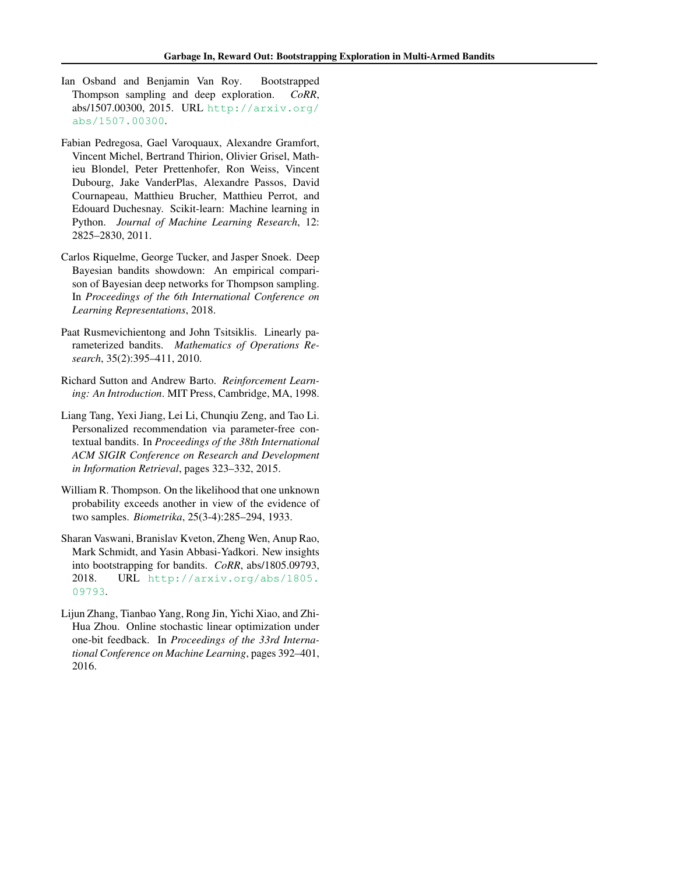- <span id="page-9-5"></span>Ian Osband and Benjamin Van Roy. Bootstrapped Thompson sampling and deep exploration. *CoRR*, abs/1507.00300, 2015. URL [http://arxiv.org/](http://arxiv.org/abs/1507.00300) [abs/1507.00300](http://arxiv.org/abs/1507.00300).
- <span id="page-9-8"></span>Fabian Pedregosa, Gael Varoquaux, Alexandre Gramfort, Vincent Michel, Bertrand Thirion, Olivier Grisel, Mathieu Blondel, Peter Prettenhofer, Ron Weiss, Vincent Dubourg, Jake VanderPlas, Alexandre Passos, David Cournapeau, Matthieu Brucher, Matthieu Perrot, and Edouard Duchesnay. Scikit-learn: Machine learning in Python. *Journal of Machine Learning Research*, 12: 2825–2830, 2011.
- <span id="page-9-4"></span>Carlos Riquelme, George Tucker, and Jasper Snoek. Deep Bayesian bandits showdown: An empirical comparison of Bayesian deep networks for Thompson sampling. In *Proceedings of the 6th International Conference on Learning Representations*, 2018.
- <span id="page-9-0"></span>Paat Rusmevichientong and John Tsitsiklis. Linearly parameterized bandits. *Mathematics of Operations Research*, 35(2):395–411, 2010.
- <span id="page-9-2"></span>Richard Sutton and Andrew Barto. *Reinforcement Learning: An Introduction*. MIT Press, Cambridge, MA, 1998.
- <span id="page-9-6"></span>Liang Tang, Yexi Jiang, Lei Li, Chunqiu Zeng, and Tao Li. Personalized recommendation via parameter-free contextual bandits. In *Proceedings of the 38th International ACM SIGIR Conference on Research and Development in Information Retrieval*, pages 323–332, 2015.
- <span id="page-9-1"></span>William R. Thompson. On the likelihood that one unknown probability exceeds another in view of the evidence of two samples. *Biometrika*, 25(3-4):285–294, 1933.
- <span id="page-9-7"></span>Sharan Vaswani, Branislav Kveton, Zheng Wen, Anup Rao, Mark Schmidt, and Yasin Abbasi-Yadkori. New insights into bootstrapping for bandits. *CoRR*, abs/1805.09793, 2018. URL [http://arxiv.org/abs/1805.](http://arxiv.org/abs/1805.09793) [09793](http://arxiv.org/abs/1805.09793).
- <span id="page-9-3"></span>Lijun Zhang, Tianbao Yang, Rong Jin, Yichi Xiao, and Zhi-Hua Zhou. Online stochastic linear optimization under one-bit feedback. In *Proceedings of the 33rd International Conference on Machine Learning*, pages 392–401, 2016.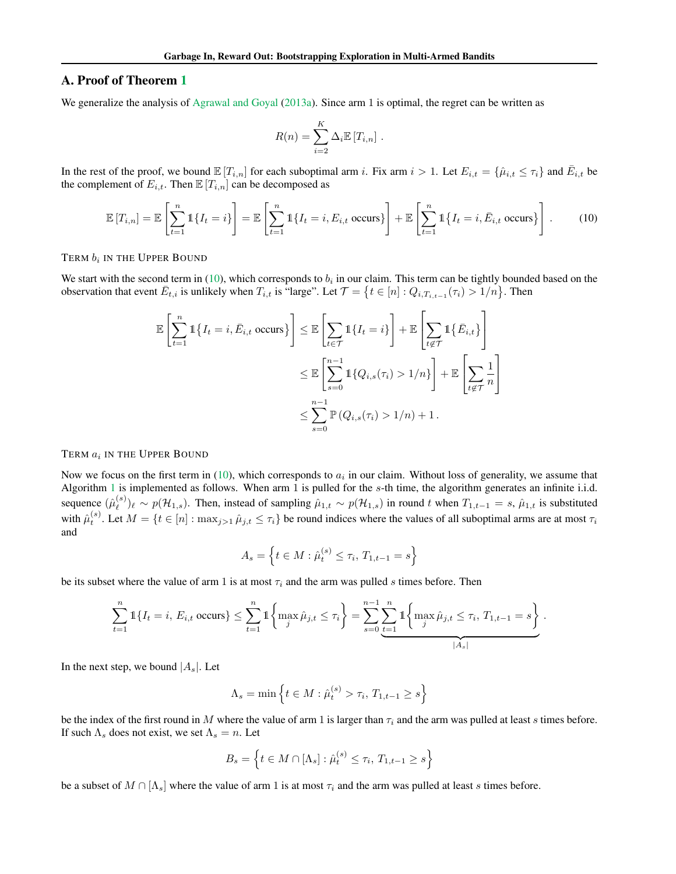# <span id="page-10-0"></span>A. Proof of Theorem [1](#page-4-4)

We generalize the analysis of [Agrawal and Goyal](#page-8-7) [\(2013a\)](#page-8-7). Since arm 1 is optimal, the regret can be written as

<span id="page-10-1"></span>
$$
R(n) = \sum_{i=2}^{K} \Delta_i \mathbb{E}[T_{i,n}].
$$

In the rest of the proof, we bound  $\mathbb{E}[T_{i,n}]$  for each suboptimal arm i. Fix arm  $i > 1$ . Let  $E_{i,t} = \{\hat{\mu}_{i,t} \leq \tau_i\}$  and  $\overline{E}_{i,t}$  be the complement of  $E_{i,t}$ . Then  $\mathbb{E}[T_{i,n}]$  can be decomposed as

$$
\mathbb{E}\left[T_{i,n}\right] = \mathbb{E}\left[\sum_{t=1}^{n} \mathbb{1}\{I_t = i\}\right] = \mathbb{E}\left[\sum_{t=1}^{n} \mathbb{1}\{I_t = i, E_{i,t} \text{ occurs}\}\right] + \mathbb{E}\left[\sum_{t=1}^{n} \mathbb{1}\{I_t = i, \bar{E}_{i,t} \text{ occurs}\}\right].
$$
 (10)

TERM  $b_i$  in the Upper Bound

We start with the second term in [\(10\)](#page-10-1), which corresponds to  $b_i$  in our claim. This term can be tightly bounded based on the observation that event  $\bar{E}_{t,i}$  is unlikely when  $T_{i,t}$  is "large". Let  $\mathcal{T} = \{t \in [n] : Q_{i,T_{i,t-1}}(\tau_i) > 1/n\}$ . Then

$$
\mathbb{E}\left[\sum_{t=1}^{n} \mathbb{1}\left\{I_{t}=i,\bar{E}_{i,t} \text{ occurs}\right\}\right] \leq \mathbb{E}\left[\sum_{t\in\mathcal{T}} \mathbb{1}\left\{I_{t}=i\right\}\right] + \mathbb{E}\left[\sum_{t\notin\mathcal{T}} \mathbb{1}\left\{\bar{E}_{i,t}\right\}\right]
$$

$$
\leq \mathbb{E}\left[\sum_{s=0}^{n-1} \mathbb{1}\left\{Q_{i,s}(\tau_{i})>1/n\right\}\right] + \mathbb{E}\left[\sum_{t\notin\mathcal{T}}\frac{1}{n}\right]
$$

$$
\leq \sum_{s=0}^{n-1} \mathbb{P}\left(Q_{i,s}(\tau_{i})>1/n\right) + 1.
$$

### TERM  $a_i$  in the Upper Bound

Now we focus on the first term in [\(10\)](#page-10-1), which corresponds to  $a_i$  in our claim. Without loss of generality, we assume that Algorithm [1](#page-2-1) is implemented as follows. When arm 1 is pulled for the  $s$ -th time, the algorithm generates an infinite i.i.d. sequence  $(\hat{\mu}_{\ell}^{(s)})$  $\ell^{(s)}_{\ell}$ ) $\ell \sim p(\mathcal{H}_{1,s})$ . Then, instead of sampling  $\hat{\mu}_{1,t} \sim p(\mathcal{H}_{1,s})$  in round t when  $T_{1,t-1} = s$ ,  $\hat{\mu}_{1,t}$  is substituted with  $\hat{\mu}_{t}^{(s)}$ . Let  $M = \{t \in [n] : \max_{j>1} \hat{\mu}_{j,t} \leq \tau_i\}$  be round indices where the values of all suboptimal arms are at most  $\tau_i$ and

$$
A_s = \left\{ t \in M : \hat{\mu}_t^{(s)} \le \tau_i, T_{1,t-1} = s \right\}
$$

be its subset where the value of arm 1 is at most  $\tau_i$  and the arm was pulled s times before. Then

$$
\sum_{t=1}^{n} \mathbb{1}\{I_t = i, E_{i,t} \text{ occurs}\} \le \sum_{t=1}^{n} \mathbb{1}\left\{\max_{j} \hat{\mu}_{j,t} \le \tau_i\right\} = \sum_{s=0}^{n-1} \sum_{t=1}^{n} \mathbb{1}\left\{\max_{j} \hat{\mu}_{j,t} \le \tau_i, T_{1,t-1} = s\right\}.
$$

In the next step, we bound  $|A_s|$ . Let

$$
\Lambda_s = \min \left\{ t \in M : \hat{\mu}_t^{(s)} > \tau_i, T_{1,t-1} \geq s \right\}
$$

be the index of the first round in M where the value of arm 1 is larger than  $\tau_i$  and the arm was pulled at least s times before. If such  $\Lambda_s$  does not exist, we set  $\Lambda_s = n$ . Let

$$
B_s = \left\{ t \in M \cap [\Lambda_s] : \hat{\mu}_t^{(s)} \le \tau_i, T_{1,t-1} \ge s \right\}
$$

be a subset of  $M \cap [\Lambda_s]$  where the value of arm 1 is at most  $\tau_i$  and the arm was pulled at least s times before.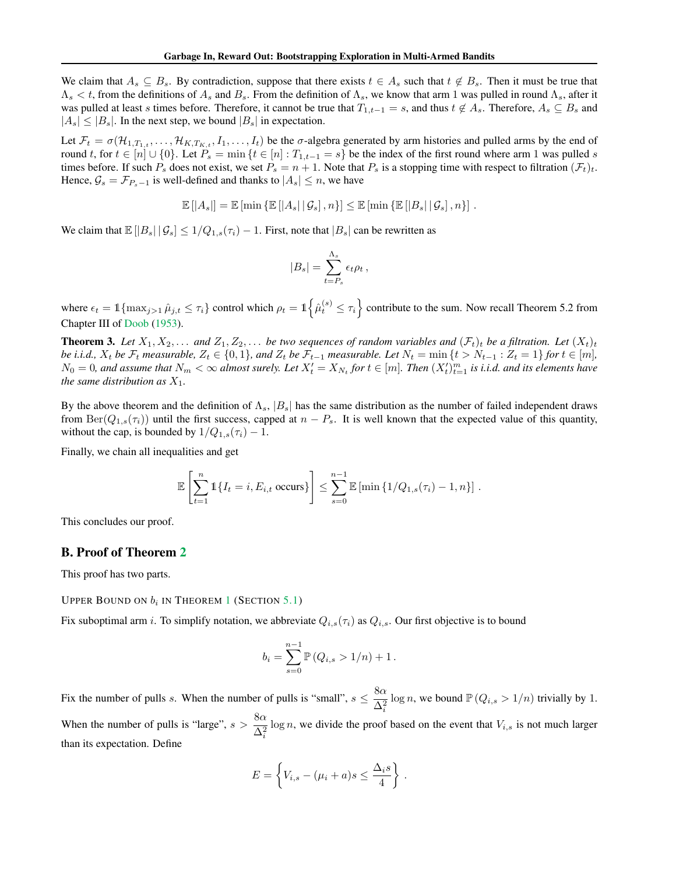We claim that  $A_s \subseteq B_s$ . By contradiction, suppose that there exists  $t \in A_s$  such that  $t \notin B_s$ . Then it must be true that  $\Lambda_s < t$ , from the definitions of  $A_s$  and  $B_s$ . From the definition of  $\Lambda_s$ , we know that arm 1 was pulled in round  $\Lambda_s$ , after it was pulled at least s times before. Therefore, it cannot be true that  $T_{1,t-1} = s$ , and thus  $t \notin A_s$ . Therefore,  $A_s \subseteq B_s$  and  $|A_s| \leq |B_s|$ . In the next step, we bound  $|B_s|$  in expectation.

Let  $\mathcal{F}_t = \sigma(\mathcal{H}_{1,T_{1,t}},\ldots,\mathcal{H}_{K,T_K},I_1,\ldots,I_t)$  be the  $\sigma$ -algebra generated by arm histories and pulled arms by the end of round t, for  $t \in [n] \cup \{0\}$ . Let  $P_s = \min \{t \in [n] : T_{1,t-1} = s\}$  be the index of the first round where arm 1 was pulled s times before. If such  $P_s$  does not exist, we set  $P_s = n + 1$ . Note that  $P_s$  is a stopping time with respect to filtration  $(\mathcal{F}_t)_t$ . Hence,  $\mathcal{G}_s = \mathcal{F}_{P_s-1}$  is well-defined and thanks to  $|A_s| \leq n$ , we have

$$
\mathbb{E} [ |A_s| ] = \mathbb{E} [ \min \left\{ \mathbb{E} [ |A_s| | \mathcal{G}_s ] , n \right\} ] \leq \mathbb{E} [ \min \left\{ \mathbb{E} [ |B_s| | \mathcal{G}_s ] , n \right\} ] .
$$

We claim that  $\mathbb{E}[|B_s| \,|\, \mathcal{G}_s] \leq 1/Q_{1,s}(\tau_i) - 1$ . First, note that  $|B_s|$  can be rewritten as

$$
|B_s| = \sum_{t=P_s}^{\Lambda_s} \epsilon_t \rho_t ,
$$

where  $\epsilon_t = \mathbb{1}\{\max_{j>1} \hat{\mu}_{j,t} \leq \tau_i\}$  control which  $\rho_t = \mathbb{1}\{\hat{\mu}_t^{(s)} \leq \tau_i\}$  contribute to the sum. Now recall Theorem 5.2 from Chapter III of [Doob](#page-8-23) [\(1953\)](#page-8-23).

**Theorem 3.** Let  $X_1, X_2, \ldots$  and  $Z_1, Z_2, \ldots$  be two sequences of random variables and  $(\mathcal{F}_t)_t$  be a filtration. Let  $(X_t)_t$ *be i.i.d.,*  $X_t$  *be*  $\mathcal{F}_t$  *measurable,*  $Z_t \in \{0,1\}$ *, and*  $Z_t$  *be*  $\mathcal{F}_{t-1}$  *measurable. Let*  $N_t = \min\{t > N_{t-1} : Z_t = 1\}$  *for*  $t \in [m]$ *,*  $N_0 = 0$ , and assume that  $N_m < \infty$  almost surely. Let  $X'_t = X_{N_t}$  for  $t \in [m]$ . Then  $(X'_t)_{t=1}^m$  is i.i.d. and its elements have *the same distribution as*  $X_1$ *.* 

By the above theorem and the definition of  $\Lambda_s$ ,  $|B_s|$  has the same distribution as the number of failed independent draws from  $\text{Ber}(Q_{1,s}(\tau_i))$  until the first success, capped at  $n - P_s$ . It is well known that the expected value of this quantity, without the cap, is bounded by  $1/Q_{1,s}(\tau_i) - 1$ .

Finally, we chain all inequalities and get

$$
\mathbb{E}\left[\sum_{t=1}^n \mathbb{1}\{I_t = i, E_{i,t} \text{ occurs}\}\right] \leq \sum_{s=0}^{n-1} \mathbb{E}\left[\min \{1/Q_{1,s}(\tau_i) - 1, n\}\right].
$$

This concludes our proof.

# <span id="page-11-0"></span>B. Proof of Theorem [2](#page-4-5)

This proof has two parts.

UPPER BOUND ON  $b_i$  in Theorem [1](#page-4-4) (Section [5.1\)](#page-4-2)

Fix suboptimal arm i. To simplify notation, we abbreviate  $Q_{i,s}(\tau_i)$  as  $Q_{i,s}$ . Our first objective is to bound

$$
b_i = \sum_{s=0}^{n-1} \mathbb{P}\left(Q_{i,s} > 1/n\right) + 1.
$$

Fix the number of pulls s. When the number of pulls is "small",  $s \leq \frac{8\alpha}{\Delta^2}$  $\Delta_i^2$  $\log n$ , we bound  $\mathbb{P}\left(Q_{i,s} > 1/n\right)$  trivially by 1. When the number of pulls is "large",  $s > \frac{8\alpha}{\Delta^2}$  $\Delta_i^2$  $\log n$ , we divide the proof based on the event that  $V_{i,s}$  is not much larger than its expectation. Define

$$
E = \left\{ V_{i,s} - (\mu_i + a)s \le \frac{\Delta_i s}{4} \right\}.
$$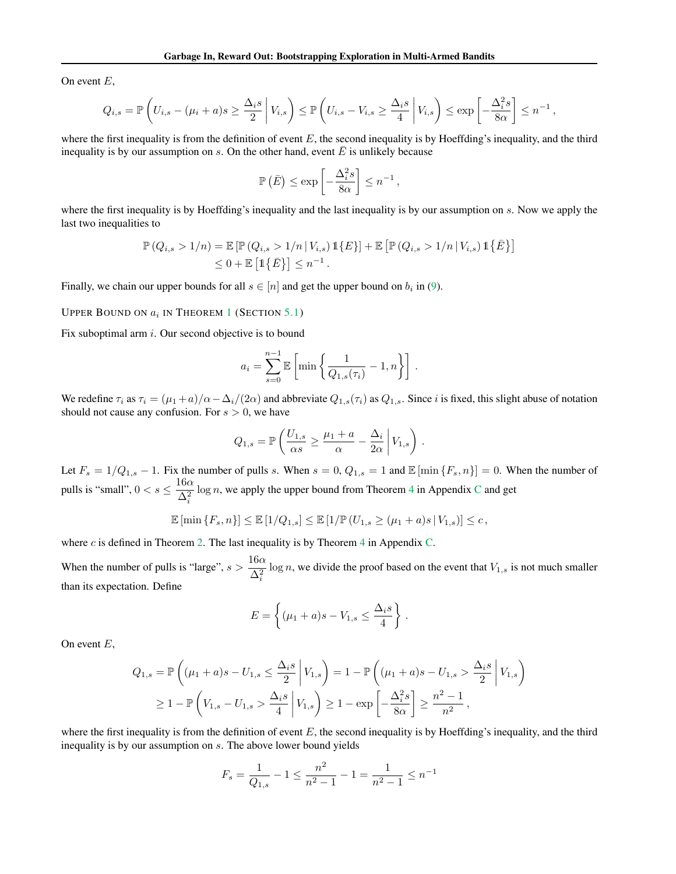On event  $E$ ,

$$
Q_{i,s} = \mathbb{P}\left(U_{i,s} - (\mu_i + a)s \ge \frac{\Delta_i s}{2} \middle| V_{i,s}\right) \le \mathbb{P}\left(U_{i,s} - V_{i,s} \ge \frac{\Delta_i s}{4} \middle| V_{i,s}\right) \le \exp\left[-\frac{\Delta_i^2 s}{8\alpha}\right] \le n^{-1}
$$

,

where the first inequality is from the definition of event  $E$ , the second inequality is by Hoeffding's inequality, and the third inequality is by our assumption on  $s$ . On the other hand, event  $\overline{E}$  is unlikely because

$$
\mathbb{P}\left(\bar{E}\right) \le \exp\left[-\frac{\Delta_i^2 s}{8\alpha}\right] \le n^{-1},
$$

where the first inequality is by Hoeffding's inequality and the last inequality is by our assumption on s. Now we apply the last two inequalities to

$$
\mathbb{P}(Q_{i,s} > 1/n) = \mathbb{E}[\mathbb{P}(Q_{i,s} > 1/n | V_{i,s}) \mathbb{1}\{E\}] + \mathbb{E}[\mathbb{P}(Q_{i,s} > 1/n | V_{i,s}) \mathbb{1}\{\bar{E}\}]
$$
  
 
$$
\leq 0 + \mathbb{E}[\mathbb{1}\{\bar{E}\}] \leq n^{-1}.
$$

Finally, we chain our upper bounds for all  $s \in [n]$  and get the upper bound on  $b_i$  in [\(9\)](#page-4-7).

### Upper Bound on  $a_i$  in Theorem [1](#page-4-4) (Section [5.1\)](#page-4-2)

Fix suboptimal arm  $i$ . Our second objective is to bound

$$
a_i = \sum_{s=0}^{n-1} \mathbb{E}\left[\min\left\{\frac{1}{Q_{1,s}(\tau_i)} - 1, n\right\}\right].
$$

We redefine  $\tau_i$  as  $\tau_i = (\mu_1 + a)/\alpha - \Delta_i/(2\alpha)$  and abbreviate  $Q_{1,s}(\tau_i)$  as  $Q_{1,s}$ . Since i is fixed, this slight abuse of notation should not cause any confusion. For  $s > 0$ , we have

$$
Q_{1,s} = \mathbb{P}\left(\frac{U_{1,s}}{\alpha s} \ge \frac{\mu_1 + a}{\alpha} - \frac{\Delta_i}{2\alpha} \middle| V_{1,s}\right).
$$

Let  $F_s = 1/Q_{1,s} - 1$ . Fix the number of pulls s. When  $s = 0$ ,  $Q_{1,s} = 1$  and  $\mathbb{E}[\min\{F_s, n\}] = 0$ . When the number of pulls is "small",  $0 < s \leq \frac{16\alpha}{\Delta^2}$  $\Delta_i^2$  $\log n$ , we apply the upper bound from Theorem [4](#page-13-1) in Appendix [C](#page-13-0) and get

$$
\mathbb{E}\left[\min\left\{F_s, n\right\}\right] \leq \mathbb{E}\left[1/Q_{1,s}\right] \leq \mathbb{E}\left[1/\mathbb{P}\left(U_{1,s} \geq (\mu_1 + a)s \,|\, V_{1,s}\right)\right] \leq c\,,
$$

where  $c$  is defined in Theorem [2.](#page-4-5) The last inequality is by Theorem [4](#page-13-1) in Appendix [C.](#page-13-0)

When the number of pulls is "large",  $s > \frac{16\alpha}{\Delta^2}$  $\Delta_i^2$  $\log n$ , we divide the proof based on the event that  $V_{1,s}$  is not much smaller than its expectation. Define

$$
E = \left\{ (\mu_1 + a)s - V_{1,s} \le \frac{\Delta_i s}{4} \right\}
$$

.

On event  $E$ ,

$$
Q_{1,s} = \mathbb{P}\left((\mu_1 + a)s - U_{1,s} \le \frac{\Delta_i s}{2} \middle| V_{1,s}\right) = 1 - \mathbb{P}\left((\mu_1 + a)s - U_{1,s} > \frac{\Delta_i s}{2} \middle| V_{1,s}\right)
$$
  
 
$$
\ge 1 - \mathbb{P}\left(V_{1,s} - U_{1,s} > \frac{\Delta_i s}{4} \middle| V_{1,s}\right) \ge 1 - \exp\left[-\frac{\Delta_i^2 s}{8\alpha}\right] \ge \frac{n^2 - 1}{n^2},
$$

where the first inequality is from the definition of event  $E$ , the second inequality is by Hoeffding's inequality, and the third inequality is by our assumption on s. The above lower bound yields

$$
F_s = \frac{1}{Q_{1,s}} - 1 \le \frac{n^2}{n^2 - 1} - 1 = \frac{1}{n^2 - 1} \le n^{-1}
$$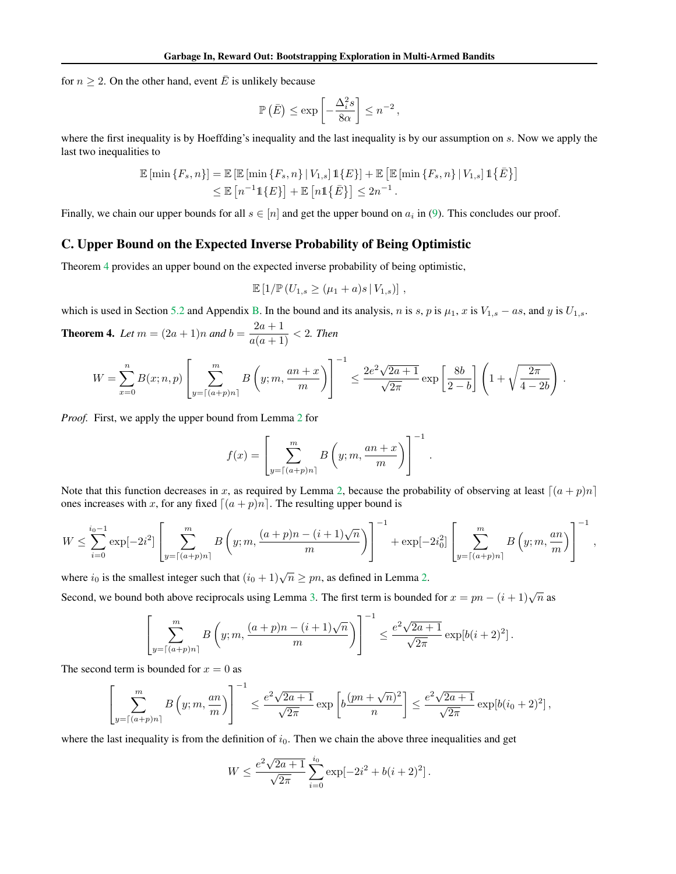for  $n \geq 2$ . On the other hand, event  $\overline{E}$  is unlikely because

$$
\mathbb{P}\left(\bar{E}\right) \le \exp\left[-\frac{\Delta_i^2 s}{8\alpha}\right] \le n^{-2},
$$

where the first inequality is by Hoeffding's inequality and the last inequality is by our assumption on s. Now we apply the last two inequalities to

$$
\mathbb{E} [\min \{F_s, n\}] = \mathbb{E} [\mathbb{E} [\min \{F_s, n\} | V_{1,s}] \mathbb{1} \{E\}] + \mathbb{E} [\mathbb{E} [\min \{F_s, n\} | V_{1,s}] \mathbb{1} \{\overline{E}\}]
$$
  
\n
$$
\leq \mathbb{E} [n^{-1} \mathbb{1} \{E\}] + \mathbb{E} [n \mathbb{1} \{\overline{E}\}] \leq 2n^{-1}.
$$

Finally, we chain our upper bounds for all  $s \in [n]$  and get the upper bound on  $a_i$  in [\(9\)](#page-4-7). This concludes our proof.

# <span id="page-13-0"></span>C. Upper Bound on the Expected Inverse Probability of Being Optimistic

Theorem [4](#page-13-1) provides an upper bound on the expected inverse probability of being optimistic,

$$
\mathbb{E} [1/\mathbb{P} (U_{1,s} \geq (\mu_1 + a)s \,|\, V_{1,s})],
$$

which is used in Section [5.2](#page-4-3) and Appendix [B.](#page-11-0) In the bound and its analysis, n is s, p is  $\mu_1$ , x is  $V_{1,s}$  – as, and y is  $U_{1,s}$ .

<span id="page-13-1"></span>**Theorem 4.** Let  $m = (2a + 1)n$  and  $b = \frac{2a + 1}{a(a + 1)} < 2$ . Then

$$
W = \sum_{x=0}^n B(x;n,p) \left[ \sum_{y=\lceil (a+p)n \rceil}^m B\left(y;m,\frac{an+x}{m}\right) \right]^{-1} \le \frac{2e^2\sqrt{2a+1}}{\sqrt{2\pi}} \exp\left[\frac{8b}{2-b}\right] \left(1+\sqrt{\frac{2\pi}{4-2b}}\right).
$$

*Proof.* First, we apply the upper bound from Lemma [2](#page-14-0) for

$$
f(x) = \left[ \sum_{y=\lceil (a+p)n \rceil}^{m} B\left(y; m, \frac{an+x}{m}\right) \right]^{-1}.
$$

Note that this function decreases in x, as required by Lemma [2,](#page-14-0) because the probability of observing at least  $[(a + p)n]$ ones increases with x, for any fixed  $\left[ (a + p)n \right]$ . The resulting upper bound is

$$
W \leq \sum_{i=0}^{i_0-1} \exp[-2i^2] \left[ \sum_{y=\lceil (a+p)n \rceil}^m B\left(y; m, \frac{(a+p)n-(i+1)\sqrt{n}}{m}\right) \right]^{-1} + \exp[-2i_0^2] \left[ \sum_{y=\lceil (a+p)n \rceil}^m B\left(y; m, \frac{an}{m}\right) \right]^{-1},
$$

where  $i_0$  is the smallest integer such that  $(i_0 + 1)\sqrt{n} \geq pn$ , as defined in Lemma [2.](#page-14-0)

Second, we bound both above reciprocals using Lemma [3.](#page-14-1) The first term is bounded for  $x = pn - (i + 1)\sqrt{n}$  as

$$
\left[\sum_{y=\lceil(a+p)n\rceil}^m B\left(y;m,\frac{(a+p)n-(i+1)\sqrt{n}}{m}\right)\right]^{-1} \le \frac{e^2\sqrt{2a+1}}{\sqrt{2\pi}}\exp[b(i+2)^2].
$$

The second term is bounded for  $x = 0$  as

$$
\left[\sum_{y=\lceil (a+p)n\rceil}^m B\left(y;m,\frac{an}{m}\right)\right]^{-1} \leq \frac{e^2\sqrt{2a+1}}{\sqrt{2\pi}}\exp\left[b\frac{(pn+\sqrt{n})^2}{n}\right] \leq \frac{e^2\sqrt{2a+1}}{\sqrt{2\pi}}\exp[b(i_0+2)^2],
$$

where the last inequality is from the definition of  $i<sub>0</sub>$ . Then we chain the above three inequalities and get

$$
W \le \frac{e^2 \sqrt{2a+1}}{\sqrt{2\pi}} \sum_{i=0}^{i_0} \exp[-2i^2 + b(i+2)^2].
$$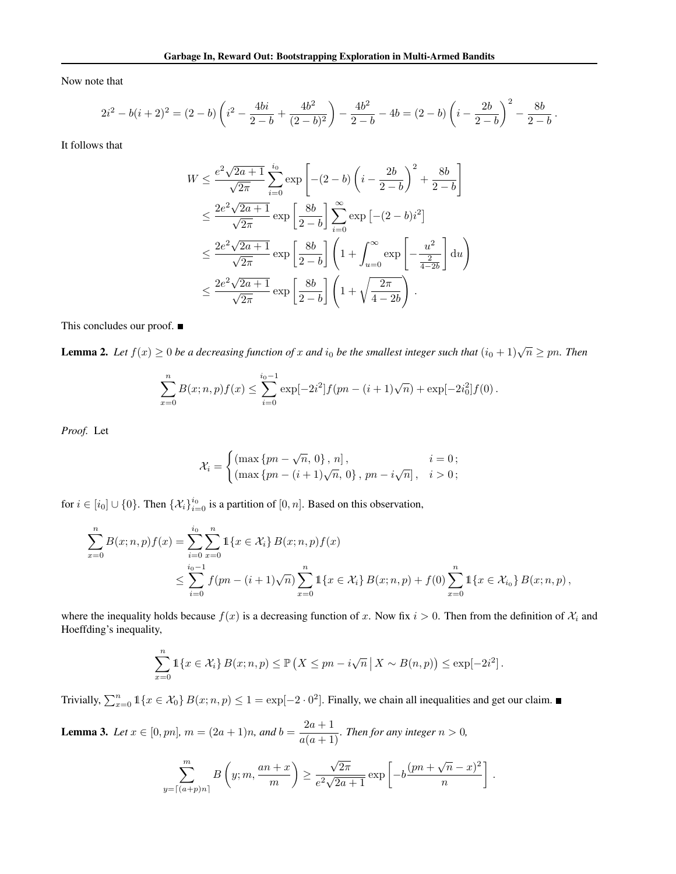Now note that

$$
2i^2 - b(i+2)^2 = (2-b)\left(i^2 - \frac{4bi}{2-b} + \frac{4b^2}{(2-b)^2}\right) - \frac{4b^2}{2-b} - 4b = (2-b)\left(i - \frac{2b}{2-b}\right)^2 - \frac{8b}{2-b}.
$$

It follows that

$$
W \le \frac{e^2 \sqrt{2a+1}}{\sqrt{2\pi}} \sum_{i=0}^{i_0} \exp\left[ -(2-b) \left( i - \frac{2b}{2-b} \right)^2 + \frac{8b}{2-b} \right]
$$
  

$$
\le \frac{2e^2 \sqrt{2a+1}}{\sqrt{2\pi}} \exp\left[ \frac{8b}{2-b} \right] \sum_{i=0}^{\infty} \exp\left[ -(2-b)i^2 \right]
$$
  

$$
\le \frac{2e^2 \sqrt{2a+1}}{\sqrt{2\pi}} \exp\left[ \frac{8b}{2-b} \right] \left( 1 + \int_{u=0}^{\infty} \exp\left[ -\frac{u^2}{\frac{2}{4-2b}} \right] du \right)
$$
  

$$
\le \frac{2e^2 \sqrt{2a+1}}{\sqrt{2\pi}} \exp\left[ \frac{8b}{2-b} \right] \left( 1 + \sqrt{\frac{2\pi}{4-2b}} \right).
$$

This concludes our proof. ■

<span id="page-14-0"></span>**Lemma 2.** Let  $f(x) \ge 0$  be a decreasing function of x and  $i_0$  be the smallest integer such that  $(i_0 + 1)\sqrt{n} \ge pn$ . Then

$$
\sum_{x=0}^{n} B(x;n,p)f(x) \leq \sum_{i=0}^{i_0-1} \exp[-2i^2]f(pn-(i+1)\sqrt{n}) + \exp[-2i_0^2]f(0).
$$

*Proof.* Let

$$
\mathcal{X}_i = \begin{cases} \left( \max \left\{ pn - \sqrt{n}, 0 \right\}, n \right], & i = 0; \\ \left( \max \left\{ pn - (i+1)\sqrt{n}, 0 \right\}, pn - i\sqrt{n} \right], & i > 0; \end{cases}
$$

for  $i \in [i_0] \cup \{0\}$ . Then  $\{\mathcal{X}_i\}_{i=0}^{i_0}$  is a partition of  $[0, n]$ . Based on this observation,

$$
\sum_{x=0}^{n} B(x;n,p)f(x) = \sum_{i=0}^{i_0} \sum_{x=0}^{n} \mathbb{1}\{x \in \mathcal{X}_i\} B(x;n,p)f(x)
$$
  

$$
\leq \sum_{i=0}^{i_0-1} f(pn - (i+1)\sqrt{n}) \sum_{x=0}^{n} \mathbb{1}\{x \in \mathcal{X}_i\} B(x;n,p) + f(0) \sum_{x=0}^{n} \mathbb{1}\{x \in \mathcal{X}_{i_0}\} B(x;n,p),
$$

where the inequality holds because  $f(x)$  is a decreasing function of x. Now fix  $i > 0$ . Then from the definition of  $\mathcal{X}_i$  and Hoeffding's inequality,

$$
\sum_{x=0}^{n} \mathbb{1}\left\{x \in \mathcal{X}_i\right\} B(x; n, p) \leq \mathbb{P}\left(X \leq pn - i\sqrt{n} \,\big|\, X \sim B(n, p)\right) \leq \exp[-2i^2].
$$

Trivially,  $\sum_{x=0}^{n} 1\{x \in \mathcal{X}_0\} B(x; n, p) \leq 1 = \exp[-2 \cdot 0^2]$ . Finally, we chain all inequalities and get our claim.

<span id="page-14-1"></span>**Lemma 3.** *Let*  $x \in [0, pn]$ ,  $m = (2a + 1)n$ , and  $b = \frac{2a + 1}{a(a + 1)}$ . *Then for any integer*  $n > 0$ ,

$$
\sum_{y=\lceil(a+p)n\rceil}^{m} B\left(y; m, \frac{an+x}{m}\right) \ge \frac{\sqrt{2\pi}}{e^2 \sqrt{2a+1}} \exp\left[-b\frac{(pn+\sqrt{n}-x)^2}{n}\right].
$$